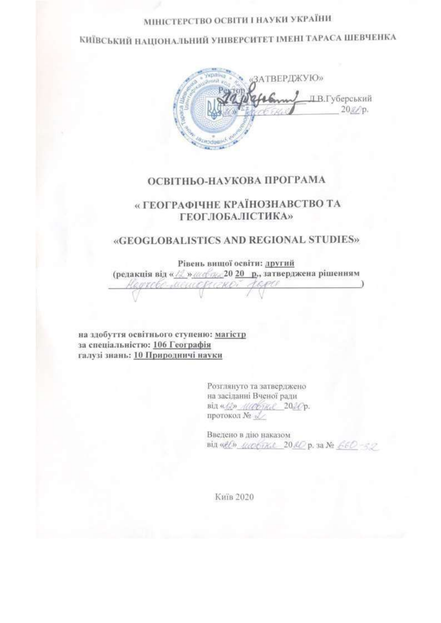# МІНІСТЕРСТВО ОСВІТИ І НАУКИ УКРАЇНИ

КИЇВСЬКИЙ НАЦІОНАЛЬНИЙ УНІВЕРСИТЕТ ІМЕНІ ТАРАСА ШЕВЧЕНКА

**АТВЕРДЖУЮ» ДВ.Губерський**  $20\mathcal{AD}p.$ 

#### ОСВІТНЬО-НАУКОВА ПРОГРАМА

### « ГЕОГРАФІЧНЕ КРАЇНОЗНАВСТВО ТА **ГЕОГЛОБАЛІСТИКА»**

#### «GEOGLOBALISTICS AND REGIONAL STUDIES»

Рівень вищої освіти: другий (редакція від « / / » /// « / / / 20 20 р., затверджена рішенням 1060 MEUN

на здобуття освітнього ступеню: магістр за спеціальністю: 106 Географія галузі знань: 10 Природничі науки

> Розглянуто та затверджено на засіданні Вченої ради від «Во Мабяке 2020р. протокол № 2

Введено в дію наказом від «Н» шобтка 20 80 р. за № 660-52

**Ки**ів 2020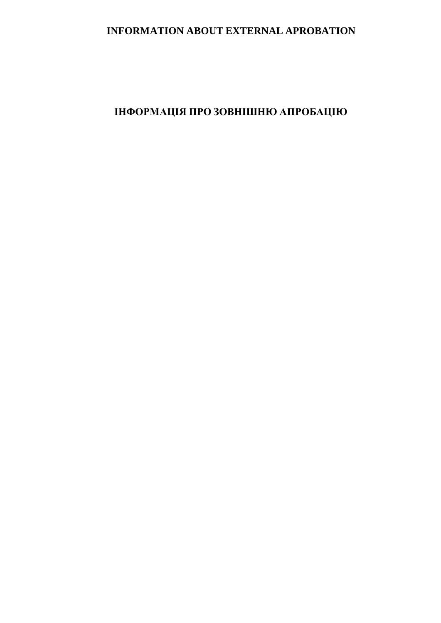### **INFORMATION ABOUT EXTERNAL APROBATION**

# **ІНФОРМАЦІЯ ПРО ЗОВНІШНЮ АПРОБАЦІЮ**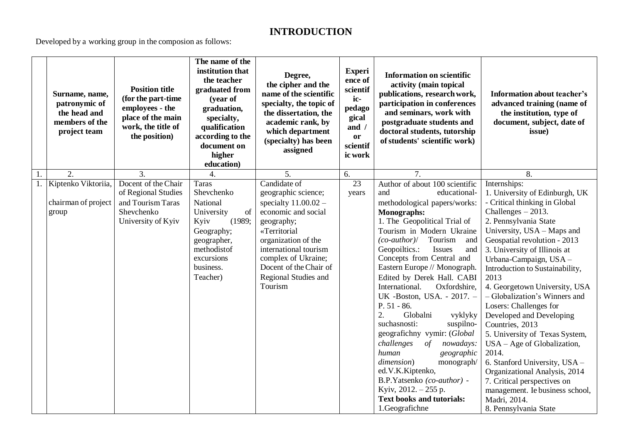## **INTRODUCTION**

Developed by a working group in the composion as follows:

|    | Surname, name,<br>patronymic of<br>the head and<br>members of the<br>project team | <b>Position title</b><br>(for the part-time<br>employees - the<br>place of the main<br>work, the title of<br>the position) | The name of the<br>institution that<br>the teacher<br>graduated from<br>(year of<br>graduation,<br>specialty,<br>qualification<br>according to the<br>document on<br>higher<br>education) | Degree,<br>the cipher and the<br>name of the scientific<br>specialty, the topic of<br>the dissertation, the<br>academic rank, by<br>which department<br>(specialty) has been<br>assigned                                                                      | <b>Experi</b><br>ence of<br>scientif<br>ic-<br>pedago<br>gical<br>and /<br>or<br>scientif<br>ic work | <b>Information on scientific</b><br>activity (main topical<br>publications, research work,<br>participation in conferences<br>and seminars, work with<br>postgraduate students and<br>doctoral students, tutorship<br>of students' scientific work)                                                                                                                                                                                                                                                                                                                                                                                                                                                                                     | Information about teacher's<br>advanced training (name of<br>the institution, type of<br>document, subject, date of<br>issue)                                                                                                                                                                                                                                                                                                                                                                                                                                                                                                                                                                           |
|----|-----------------------------------------------------------------------------------|----------------------------------------------------------------------------------------------------------------------------|-------------------------------------------------------------------------------------------------------------------------------------------------------------------------------------------|---------------------------------------------------------------------------------------------------------------------------------------------------------------------------------------------------------------------------------------------------------------|------------------------------------------------------------------------------------------------------|-----------------------------------------------------------------------------------------------------------------------------------------------------------------------------------------------------------------------------------------------------------------------------------------------------------------------------------------------------------------------------------------------------------------------------------------------------------------------------------------------------------------------------------------------------------------------------------------------------------------------------------------------------------------------------------------------------------------------------------------|---------------------------------------------------------------------------------------------------------------------------------------------------------------------------------------------------------------------------------------------------------------------------------------------------------------------------------------------------------------------------------------------------------------------------------------------------------------------------------------------------------------------------------------------------------------------------------------------------------------------------------------------------------------------------------------------------------|
| 1. | $\overline{2}$ .                                                                  | $\overline{3}$ .                                                                                                           |                                                                                                                                                                                           | 5.                                                                                                                                                                                                                                                            | 6.                                                                                                   | 7.                                                                                                                                                                                                                                                                                                                                                                                                                                                                                                                                                                                                                                                                                                                                      | 8.                                                                                                                                                                                                                                                                                                                                                                                                                                                                                                                                                                                                                                                                                                      |
|    | 1. Kiptenko Viktoriia,<br>chairman of project<br>group                            | Docent of the Chair<br>of Regional Studies<br>and Tourism Taras<br>Shevchenko<br>University of Kyiv                        | <b>Taras</b><br>Shevchenko<br>National<br>of<br>University<br>Kyiv<br>(1989;<br>Geography;<br>geographer,<br>methodistof<br>excursions<br>business.<br>Teacher)                           | Candidate of<br>geographic science;<br>specialty $11.00.02 -$<br>economic and social<br>geography;<br>«Territorial<br>organization of the<br>international tourism<br>complex of Ukraine;<br>Docent of the Chair of<br><b>Regional Studies and</b><br>Tourism | $\overline{23}$<br>years                                                                             | Author of about 100 scientific<br>educational-<br>and<br>methodological papers/works:<br>Monographs:<br>1. The Geopolitical Trial of<br>Tourism in Modern Ukraine<br>$(co\text{-}author$ )<br>Tourism<br>and<br>Geopoiltics.:<br>Issues<br>and<br>Concepts from Central and<br>Eastern Europe // Monograph.<br>Edited by Derek Hall. CABI<br>International.<br>Oxfordshire,<br>UK -Boston, USA. - 2017. -<br>$P. 51 - 86.$<br>Globalni<br>2.<br>vyklyky<br>suchasnosti:<br>suspilno-<br>geografichny vymir: (Global<br>challenges<br>of<br>nowadays:<br>human<br>geographic<br>dimension)<br>monograph/<br>ed.V.K.Kiptenko,<br>B.P.Yatsenko (co-author) -<br>Kyiv, 2012. - 255 p.<br><b>Text books and tutorials:</b><br>1.Geografichne | Internships:<br>1. University of Edinburgh, UK<br>- Critical thinking in Global<br>Challenges $-2013$ .<br>2. Pennsylvania State<br>University, USA - Maps and<br>Geospatial revolution - 2013<br>3. University of Illinois at<br>Urbana-Campaign, USA -<br>Introduction to Sustainability,<br>2013<br>4. Georgetown University, USA<br>- Globalization's Winners and<br>Losers: Challenges for<br>Developed and Developing<br>Countries, 2013<br>5. University of Texas System,<br>$USA - Age$ of Globalization,<br>2014.<br>6. Stanford University, USA -<br>Organizational Analysis, 2014<br>7. Critical perspectives on<br>management. Ie business school,<br>Madri, 2014.<br>8. Pennsylvania State |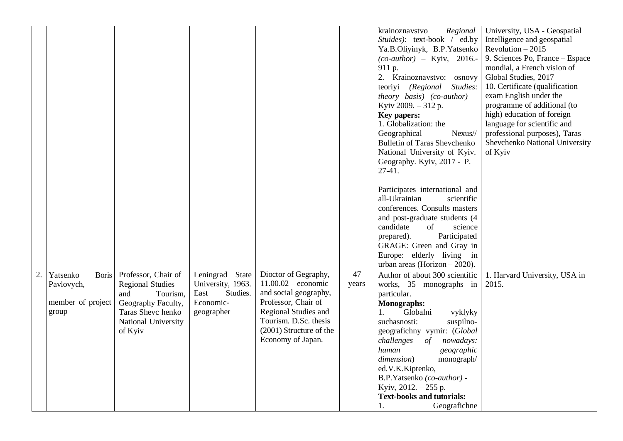| Kyiv 2009. - 312 p.<br>high) education of foreign<br>Key papers:<br>language for scientific and<br>1. Globalization: the<br>Geographical<br>professional purposes), Taras<br>Nexus//<br><b>Bulletin of Taras Shevchenko</b><br>Shevchenko National University<br>National University of Kyiv.<br>of Kyiv<br>Geography. Kyiv, 2017 - P.<br>27-41.                                       | 10. Certificate (qualification<br>exam English under the<br>programme of additional (to |
|----------------------------------------------------------------------------------------------------------------------------------------------------------------------------------------------------------------------------------------------------------------------------------------------------------------------------------------------------------------------------------------|-----------------------------------------------------------------------------------------|
| Participates international and<br>all-Ukrainian<br>scientific                                                                                                                                                                                                                                                                                                                          |                                                                                         |
| conferences. Consults masters<br>and post-graduate students (4                                                                                                                                                                                                                                                                                                                         |                                                                                         |
| candidate<br>of<br>science<br>Participated<br>prepared).                                                                                                                                                                                                                                                                                                                               |                                                                                         |
| GRAGE: Green and Gray in                                                                                                                                                                                                                                                                                                                                                               |                                                                                         |
| Europe: elderly living in<br>urban areas (Horizon $-2020$ ).                                                                                                                                                                                                                                                                                                                           |                                                                                         |
| 47<br>Dioctor of Gegraphy,<br>Professor, Chair of<br>Leningrad State<br>Author of about 300 scientific<br>Yatsenko<br><b>Boris</b><br>1. Harvard University, USA in<br>$11.00.02$ – economic<br>University, 1963.<br><b>Regional Studies</b><br>works, 35 monographs in<br>Pavlovych,<br>years<br>2015.<br>and social geography,<br>East<br>Studies.<br>Tourism,<br>particular.<br>and |                                                                                         |
| Professor, Chair of<br>member of project<br>Economic-<br>Geography Faculty,<br>Monographs:<br>Regional Studies and<br>group<br>Taras Shevc henko<br>geographer<br>Globalni<br>1.                                                                                                                                                                                                       |                                                                                         |
| vyklyky<br>Tourism. D.Sc. thesis<br>National University<br>suchasnosti:<br>suspilno-                                                                                                                                                                                                                                                                                                   |                                                                                         |
| (2001) Structure of the<br>of Kyiv<br>geografichny vymir: (Global<br>Economy of Japan.<br>challenges<br>of<br>nowadays:                                                                                                                                                                                                                                                                |                                                                                         |
| human<br>geographic                                                                                                                                                                                                                                                                                                                                                                    |                                                                                         |
| dimension)<br>monograph/                                                                                                                                                                                                                                                                                                                                                               |                                                                                         |
| ed.V.K.Kiptenko,<br>B.P.Yatsenko (co-author) -                                                                                                                                                                                                                                                                                                                                         |                                                                                         |
| Kyiv, $2012 - 255$ p.                                                                                                                                                                                                                                                                                                                                                                  |                                                                                         |
| <b>Text-books and tutorials:</b><br>Geografichne                                                                                                                                                                                                                                                                                                                                       |                                                                                         |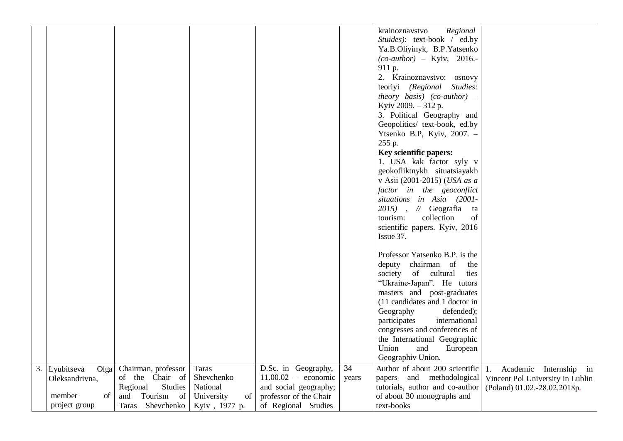| Stuides): text-book / ed.by                                                                                                                                                                                                                       |                                  |
|---------------------------------------------------------------------------------------------------------------------------------------------------------------------------------------------------------------------------------------------------|----------------------------------|
| Ya.B.Oliyinyk, B.P.Yatsenko                                                                                                                                                                                                                       |                                  |
| $(co\text{-}author) - Kyiv, 2016.$ -                                                                                                                                                                                                              |                                  |
| 911 p.                                                                                                                                                                                                                                            |                                  |
| 2. Krainoznavstvo: osnovy                                                                                                                                                                                                                         |                                  |
| teoriyi (Regional Studies:                                                                                                                                                                                                                        |                                  |
| theory basis) (co-author) $-$                                                                                                                                                                                                                     |                                  |
| Kyiv 2009. - 312 p.                                                                                                                                                                                                                               |                                  |
| 3. Political Geography and                                                                                                                                                                                                                        |                                  |
| Geopolitics/ text-book, ed.by                                                                                                                                                                                                                     |                                  |
| Ytsenko B.P, Kyiv, 2007. -                                                                                                                                                                                                                        |                                  |
| 255 p.                                                                                                                                                                                                                                            |                                  |
| Key scientific papers:                                                                                                                                                                                                                            |                                  |
| 1. USA kak factor syly v                                                                                                                                                                                                                          |                                  |
| geokofliktnykh situatsiayakh                                                                                                                                                                                                                      |                                  |
| v Asii (2001-2015) (USA as a                                                                                                                                                                                                                      |                                  |
| factor in the geoconflict                                                                                                                                                                                                                         |                                  |
| situations in Asia (2001-                                                                                                                                                                                                                         |                                  |
| $2015$ , // Geografia ta                                                                                                                                                                                                                          |                                  |
| tourism:<br>collection<br>of                                                                                                                                                                                                                      |                                  |
| scientific papers. Kyiv, 2016<br>Issue 37.                                                                                                                                                                                                        |                                  |
|                                                                                                                                                                                                                                                   |                                  |
| Professor Yatsenko B.P. is the                                                                                                                                                                                                                    |                                  |
| deputy chairman of<br>the                                                                                                                                                                                                                         |                                  |
| society<br>of cultural<br>ties                                                                                                                                                                                                                    |                                  |
| "Ukraine-Japan". He tutors                                                                                                                                                                                                                        |                                  |
| masters and post-graduates                                                                                                                                                                                                                        |                                  |
| (11 candidates and 1 doctor in                                                                                                                                                                                                                    |                                  |
| Geography<br>defended);                                                                                                                                                                                                                           |                                  |
| international<br>participates                                                                                                                                                                                                                     |                                  |
| congresses and conferences of                                                                                                                                                                                                                     |                                  |
| the International Geographic                                                                                                                                                                                                                      |                                  |
| Union<br>and<br>European                                                                                                                                                                                                                          |                                  |
| Geographiv Union.                                                                                                                                                                                                                                 |                                  |
| D.Sc. in Geography,<br>$\overline{34}$<br>Author of about 200 scientific<br>Chairman, professor<br><b>Taras</b><br>3.<br>Olga<br>Lyubitseva<br>1.<br>of the Chair of<br>Shevchenko<br>$11.00.02$ – economic<br>papers and methodological<br>years | Academic Internship in           |
| Oleksandrivna,<br><b>Studies</b><br>National<br>tutorials, author and co-author<br>Regional<br>and social geography;                                                                                                                              | Vincent Pol University in Lublin |
| member                                                                                                                                                                                                                                            | (Poland) 01.02.-28.02.2018p.     |
| project group<br>text-books<br>Taras Shevchenko<br>of Regional Studies<br>Kyiv, 1977 p.                                                                                                                                                           |                                  |
| of<br>Tourism<br>of about 30 monographs and<br><sub>of</sub><br>University<br>of<br>professor of the Chair<br>and                                                                                                                                 |                                  |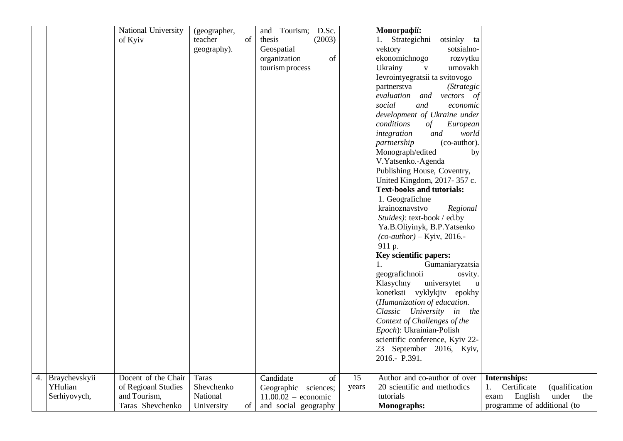|    |               | National University | (geographer, |          | and Tourism;<br>D.Sc. |                 | Монографії:                                                     |                                     |
|----|---------------|---------------------|--------------|----------|-----------------------|-----------------|-----------------------------------------------------------------|-------------------------------------|
|    |               | of Kyiv             | teacher      | $\sigma$ | thesis<br>(2003)      |                 | 1. Strategichni<br>otsinky<br>ta                                |                                     |
|    |               |                     | geography).  |          | Geospatial            |                 | vektory<br>sotsialno-                                           |                                     |
|    |               |                     |              |          | organization<br>of    |                 | ekonomichnogo<br>rozvytku                                       |                                     |
|    |               |                     |              |          | tourism process       |                 | Ukrainy<br>umovakh<br>$\mathbf{V}$                              |                                     |
|    |               |                     |              |          |                       |                 | Ievrointyegratsii ta svitovogo                                  |                                     |
|    |               |                     |              |          |                       |                 | (Strategic<br>partnerstva                                       |                                     |
|    |               |                     |              |          |                       |                 | evaluation and vectors of                                       |                                     |
|    |               |                     |              |          |                       |                 | social<br>and<br>economic                                       |                                     |
|    |               |                     |              |          |                       |                 | development of Ukraine under                                    |                                     |
|    |               |                     |              |          |                       |                 | conditions<br>of<br>European                                    |                                     |
|    |               |                     |              |          |                       |                 | world<br>integration<br>and                                     |                                     |
|    |               |                     |              |          |                       |                 | (co-author).<br>partnership                                     |                                     |
|    |               |                     |              |          |                       |                 | Monograph/edited<br>by                                          |                                     |
|    |               |                     |              |          |                       |                 | V.Yatsenko.-Agenda                                              |                                     |
|    |               |                     |              |          |                       |                 | Publishing House, Coventry,                                     |                                     |
|    |               |                     |              |          |                       |                 | United Kingdom, 2017-357 c.                                     |                                     |
|    |               |                     |              |          |                       |                 | <b>Text-books and tutorials:</b>                                |                                     |
|    |               |                     |              |          |                       |                 | 1. Geografichne                                                 |                                     |
|    |               |                     |              |          |                       |                 | krainoznavstvo<br>Regional                                      |                                     |
|    |               |                     |              |          |                       |                 | Stuides): text-book / ed.by                                     |                                     |
|    |               |                     |              |          |                       |                 | Ya.B.Oliyinyk, B.P.Yatsenko                                     |                                     |
|    |               |                     |              |          |                       |                 | $(co\text{-}author) - Kyiv, 2016. -$                            |                                     |
|    |               |                     |              |          |                       |                 | 911 p.                                                          |                                     |
|    |               |                     |              |          |                       |                 |                                                                 |                                     |
|    |               |                     |              |          |                       |                 | <b>Key scientific papers:</b><br>Gumaniaryzatsia<br>$1_{\cdot}$ |                                     |
|    |               |                     |              |          |                       |                 |                                                                 |                                     |
|    |               |                     |              |          |                       |                 | geografichnoii<br>osvity.                                       |                                     |
|    |               |                     |              |          |                       |                 | Klasychny<br>universytet<br>$\mathbf u$                         |                                     |
|    |               |                     |              |          |                       |                 | konetksti vyklykjiv epokhy                                      |                                     |
|    |               |                     |              |          |                       |                 | (Humanization of education.                                     |                                     |
|    |               |                     |              |          |                       |                 | Classic University in the                                       |                                     |
|    |               |                     |              |          |                       |                 | Context of Challenges of the                                    |                                     |
|    |               |                     |              |          |                       |                 | Epoch): Ukrainian-Polish                                        |                                     |
|    |               |                     |              |          |                       |                 | scientific conference, Kyiv 22-                                 |                                     |
|    |               |                     |              |          |                       |                 | 23 September 2016, Kyiv,                                        |                                     |
|    |               |                     |              |          |                       |                 | 2016.- P.391.                                                   |                                     |
|    |               |                     |              |          |                       |                 |                                                                 |                                     |
| 4. | Braychevskyii | Docent of the Chair | Taras        |          | Candidate<br>of       | $\overline{15}$ | Author and co-author of over                                    | Internships:                        |
|    | YHulian       | of Regioanl Studies | Shevchenko   |          | Geographic sciences;  | years           | 20 scientific and methodics                                     | Certificate<br>(qualification<br>1. |
|    | Serhiyovych,  | and Tourism,        | National     |          | $11.00.02$ – economic |                 | tutorials                                                       | under<br>English<br>the<br>exam     |
|    |               | Taras Shevchenko    | University   | $\sigma$ | and social geography  |                 | Monographs:                                                     | programme of additional (to         |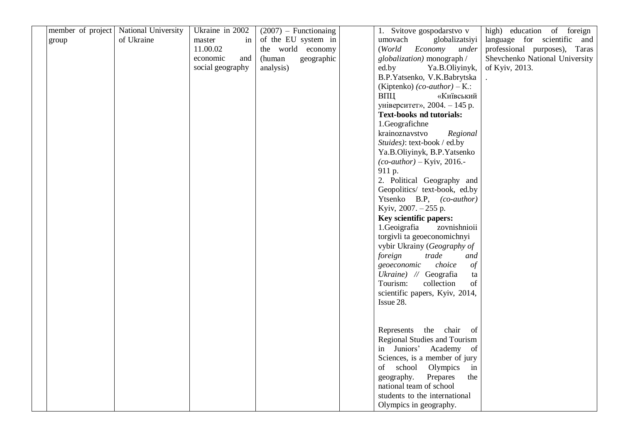|       | member of project   National University | Ukraine in 2002  | $(2007)$ – Functionaing | 1. Svitove gospodarstvo v                                | high) education of foreign     |
|-------|-----------------------------------------|------------------|-------------------------|----------------------------------------------------------|--------------------------------|
| group | of Ukraine                              | in<br>master     | of the EU system in     | umovach<br>globalizatsiyi                                | language for scientific and    |
|       |                                         | 11.00.02         | the world economy       | (World<br>Economy<br>under                               | professional purposes), Taras  |
|       |                                         | economic<br>and  | (human<br>geographic    | globalization) monograph /                               | Shevchenko National University |
|       |                                         | social geography | analysis)               | ed.by<br>Ya.B.Oliyinyk,                                  | of Kyiv, 2013.                 |
|       |                                         |                  |                         | B.P.Yatsenko, V.K.Babrytska                              |                                |
|       |                                         |                  |                         | (Kiptenko) $(co\text{-}author) - K$ .:                   |                                |
|       |                                         |                  |                         | «Київський<br>ВПЦ                                        |                                |
|       |                                         |                  |                         | університет», 2004. - 145 р.                             |                                |
|       |                                         |                  |                         | <b>Text-books nd tutorials:</b>                          |                                |
|       |                                         |                  |                         | 1.Geografichne                                           |                                |
|       |                                         |                  |                         | krainoznavstvo<br>Regional                               |                                |
|       |                                         |                  |                         | Stuides): text-book / ed.by                              |                                |
|       |                                         |                  |                         | Ya.B.Oliyinyk, B.P.Yatsenko                              |                                |
|       |                                         |                  |                         | $(co\text{-}author) - Kyiv, 2016.$ -                     |                                |
|       |                                         |                  |                         | 911 p.                                                   |                                |
|       |                                         |                  |                         | 2. Political Geography and                               |                                |
|       |                                         |                  |                         | Geopolitics/ text-book, ed.by                            |                                |
|       |                                         |                  |                         | Ytsenko B.P, (co-author)                                 |                                |
|       |                                         |                  |                         | Kyiv, 2007. - 255 p.                                     |                                |
|       |                                         |                  |                         | Key scientific papers:                                   |                                |
|       |                                         |                  |                         | 1.Geoigrafia<br>zovnishnioii                             |                                |
|       |                                         |                  |                         | torgivli ta geoeconomichnyi                              |                                |
|       |                                         |                  |                         | vybir Ukrainy (Geography of                              |                                |
|       |                                         |                  |                         | foreign<br>trade<br>and                                  |                                |
|       |                                         |                  |                         | choice<br>$\frac{\partial f}{\partial x}$<br>geoeconomic |                                |
|       |                                         |                  |                         | Ukraine) // Geografia<br>ta                              |                                |
|       |                                         |                  |                         | collection<br>of<br>Tourism:                             |                                |
|       |                                         |                  |                         | scientific papers, Kyiv, 2014,                           |                                |
|       |                                         |                  |                         | Issue 28.                                                |                                |
|       |                                         |                  |                         |                                                          |                                |
|       |                                         |                  |                         |                                                          |                                |
|       |                                         |                  |                         | the chair of<br>Represents                               |                                |
|       |                                         |                  |                         | Regional Studies and Tourism                             |                                |
|       |                                         |                  |                         | in Juniors' Academy of                                   |                                |
|       |                                         |                  |                         | Sciences, is a member of jury                            |                                |
|       |                                         |                  |                         | school<br>Olympics<br>of<br>in                           |                                |
|       |                                         |                  |                         | geography.<br>Prepares<br>the                            |                                |
|       |                                         |                  |                         | national team of school                                  |                                |
|       |                                         |                  |                         | students to the international                            |                                |
|       |                                         |                  |                         | Olympics in geography.                                   |                                |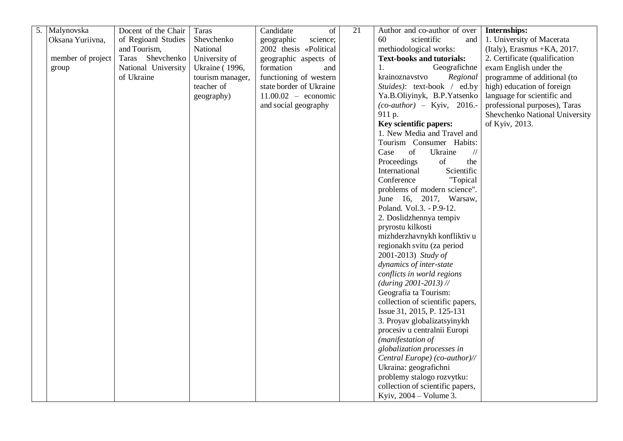| 5. | Malynovska        | Docent of the Chair | Taras                 | Candidate<br><sub>of</sub> | 21 | Author and co-author of over           | Internships:                   |
|----|-------------------|---------------------|-----------------------|----------------------------|----|----------------------------------------|--------------------------------|
|    | Oksana Yuriivna,  | of Regioanl Studies | Shevchenko            | science;<br>geographic     |    | 60<br>scientific<br>and                | 1. University of Macerata      |
|    |                   | and Tourism,        | National              | 2002 thesis «Political     |    | methiodological works:                 | (Italy), Erasmus + KA, 2017.   |
|    | member of project | Taras Shevchenko    | University of         | geographic aspects of      |    | <b>Text-books and tutorials:</b>       | 2. Certificate (qualification  |
|    | group             | National University | <b>Ukraine</b> (1996, | formation<br>and           |    | Geografichne<br>1.                     | exam English under the         |
|    |                   | of Ukraine          | tourism manager,      | functioning of western     |    | Regional<br>krainoznavstvo             | programme of additional (to    |
|    |                   |                     | teacher of            | state border of Ukraine    |    | Stuides): text-book / ed.by            | high) education of foreign     |
|    |                   |                     | geography)            | $11.00.02$ – economic      |    | Ya.B.Oliyinyk, B.P.Yatsenko            | language for scientific and    |
|    |                   |                     |                       | and social geography       |    | $(co\text{-}author)$ – Kyiv, 2016.-    | professional purposes), Taras  |
|    |                   |                     |                       |                            |    | 911 p.                                 | Shevchenko National University |
|    |                   |                     |                       |                            |    | Key scientific papers:                 | of Kyiv, 2013.                 |
|    |                   |                     |                       |                            |    | 1. New Media and Travel and            |                                |
|    |                   |                     |                       |                            |    | Tourism Consumer Habits:               |                                |
|    |                   |                     |                       |                            |    | of<br>Case<br>Ukraine<br>$\frac{1}{2}$ |                                |
|    |                   |                     |                       |                            |    | Proceedings<br>of<br>the               |                                |
|    |                   |                     |                       |                            |    | International<br>Scientific            |                                |
|    |                   |                     |                       |                            |    | Conference<br>"Topical                 |                                |
|    |                   |                     |                       |                            |    | problems of modern science".           |                                |
|    |                   |                     |                       |                            |    | June 16, 2017, Warsaw,                 |                                |
|    |                   |                     |                       |                            |    | Poland. Vol.3. - P.9-12.               |                                |
|    |                   |                     |                       |                            |    | 2. Doslidzhennya tempiv                |                                |
|    |                   |                     |                       |                            |    | pryrostu kilkosti                      |                                |
|    |                   |                     |                       |                            |    | mizhderzhavnykh konfliktiv u           |                                |
|    |                   |                     |                       |                            |    | regionakh svitu (za period             |                                |
|    |                   |                     |                       |                            |    | 2001-2013) Study of                    |                                |
|    |                   |                     |                       |                            |    | dynamics of inter-state                |                                |
|    |                   |                     |                       |                            |    | conflicts in world regions             |                                |
|    |                   |                     |                       |                            |    | $(during 2001-2013)$ //                |                                |
|    |                   |                     |                       |                            |    | Geografia ta Tourism:                  |                                |
|    |                   |                     |                       |                            |    | collection of scientific papers,       |                                |
|    |                   |                     |                       |                            |    | Issue 31, 2015, P. 125-131             |                                |
|    |                   |                     |                       |                            |    | 3. Proyav globalizatsyinykh            |                                |
|    |                   |                     |                       |                            |    | procesiv u centralnii Europi           |                                |
|    |                   |                     |                       |                            |    | (manifestation of                      |                                |
|    |                   |                     |                       |                            |    | globalization processes in             |                                |
|    |                   |                     |                       |                            |    | Central Europe) (co-author)//          |                                |
|    |                   |                     |                       |                            |    | Ukraina: geografichni                  |                                |
|    |                   |                     |                       |                            |    |                                        |                                |
|    |                   |                     |                       |                            |    | problemy stalogo rozvytku:             |                                |
|    |                   |                     |                       |                            |    | collection of scientific papers,       |                                |
|    |                   |                     |                       |                            |    | Kyiv, $2004 - Volume3$ .               |                                |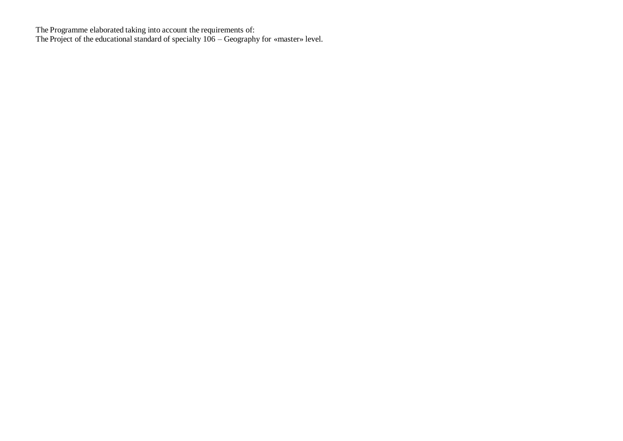The Programme elaborated taking into account the requirements of: The Project of the educational standard of specialty 106 – Geography for «master» level.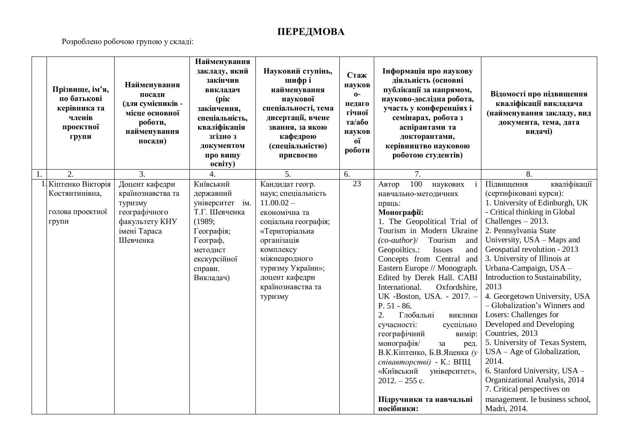# **ПЕРЕДМОВА**

Розроблено робочою групою у складі:

| Прізвище, ім'я,<br>по батькові<br>керівника та<br>членів<br>проектної<br>групи | Найменування<br>посади<br>(для сумісників -<br>місце основної<br>роботи,<br>найменування<br>посади) | Найменування<br>закладу, який<br>закінчив<br>викладач<br>(рік<br>закінчення,<br>спеціальність,<br>кваліфікація<br>згідно з<br>документом<br>про вищу<br>освіту) | Науковий ступінь,<br>шифрі<br>найменування<br>наукової<br>спеціальності, тема<br>дисертації, вчене<br>звання, за якою<br>кафедрою<br>(спеціальністю)<br>присвоєно | Стаж<br>науков<br>$0 -$<br>педаго<br>гічної<br>та/або<br>науков<br>oï<br>роботи | Інформація про наукову<br>діяльність (основні<br>публікації за напрямом,<br>науково-дослідна робота,<br>участь у конференціях і<br>семінарах, робота з<br>аспірантами та<br>докторантами,<br>керівництво науковою<br>роботою студентів) | Відомості про підвищення<br>кваліфікації викладача<br>(найменування закладу, вид<br>документа, тема, дата<br>видачі) |
|--------------------------------------------------------------------------------|-----------------------------------------------------------------------------------------------------|-----------------------------------------------------------------------------------------------------------------------------------------------------------------|-------------------------------------------------------------------------------------------------------------------------------------------------------------------|---------------------------------------------------------------------------------|-----------------------------------------------------------------------------------------------------------------------------------------------------------------------------------------------------------------------------------------|----------------------------------------------------------------------------------------------------------------------|
| $\overline{2}$ .<br>Кіптенко Вікторія                                          | $\overline{3}$ .<br>Доцент кафедри                                                                  | 4.<br>Київський                                                                                                                                                 | $\overline{5}$ .<br>Кандидат геогр.                                                                                                                               | 6.<br>$\overline{23}$                                                           | $\overline{7}$ .<br>100<br>Автор<br>наукових                                                                                                                                                                                            | 8.<br>кваліфікації<br>Підвищення                                                                                     |
| Костянтинівна,                                                                 | країнознавства та<br>туризму                                                                        | державний<br>університет ім.                                                                                                                                    | наук; спеціальність<br>$11.00.02 -$                                                                                                                               |                                                                                 | навчально-методичних<br>праць:                                                                                                                                                                                                          | (сертифіковані курси):<br>1. University of Edinburgh, UK                                                             |
| голова проектної                                                               | географічного<br>факультету КНУ                                                                     | Т.Г. Шевченка<br>(1989;                                                                                                                                         | економічна та                                                                                                                                                     |                                                                                 | Монографії:<br>1. The Geopolitical Trial of                                                                                                                                                                                             | - Critical thinking in Global<br>Challenges $-2013$ .                                                                |
| групи                                                                          | імені Тараса                                                                                        | Географія;                                                                                                                                                      | соціальна географія;<br>«Територіальна                                                                                                                            |                                                                                 | Tourism in Modern Ukraine                                                                                                                                                                                                               | 2. Pennsylvania State                                                                                                |
|                                                                                | Шевченка                                                                                            | Географ,                                                                                                                                                        | організація                                                                                                                                                       |                                                                                 | $(co\text{-}author$ )/<br>Tourism<br>and                                                                                                                                                                                                | University, USA - Maps and                                                                                           |
|                                                                                |                                                                                                     | методист                                                                                                                                                        | комплексу                                                                                                                                                         |                                                                                 | Geopoiltics.:<br>Issues<br>and                                                                                                                                                                                                          | Geospatial revolution - 2013                                                                                         |
|                                                                                |                                                                                                     | екскурсійної                                                                                                                                                    | міжнеародного                                                                                                                                                     |                                                                                 | Concepts from Central and                                                                                                                                                                                                               | 3. University of Illinois at                                                                                         |
|                                                                                |                                                                                                     | справи.                                                                                                                                                         | туризму України»;                                                                                                                                                 |                                                                                 | Eastern Europe // Monograph.                                                                                                                                                                                                            | Urbana-Campaign, USA -                                                                                               |
|                                                                                |                                                                                                     | Викладач)                                                                                                                                                       | доцент кафедри<br>країнознавства та                                                                                                                               |                                                                                 | Edited by Derek Hall. CABI<br>Oxfordshire,<br>International.                                                                                                                                                                            | Introduction to Sustainability,<br>2013                                                                              |
|                                                                                |                                                                                                     |                                                                                                                                                                 | туризму                                                                                                                                                           |                                                                                 | UK -Boston, USA. - 2017. -                                                                                                                                                                                                              | 4. Georgetown University, USA                                                                                        |
|                                                                                |                                                                                                     |                                                                                                                                                                 |                                                                                                                                                                   |                                                                                 | $P. 51 - 86.$                                                                                                                                                                                                                           | - Globalization's Winners and                                                                                        |
|                                                                                |                                                                                                     |                                                                                                                                                                 |                                                                                                                                                                   |                                                                                 | Глобальні<br>2.<br>виклики                                                                                                                                                                                                              | Losers: Challenges for                                                                                               |
|                                                                                |                                                                                                     |                                                                                                                                                                 |                                                                                                                                                                   |                                                                                 | сучасності:<br>суспільно                                                                                                                                                                                                                | Developed and Developing                                                                                             |
|                                                                                |                                                                                                     |                                                                                                                                                                 |                                                                                                                                                                   |                                                                                 | географічний<br>вимір:                                                                                                                                                                                                                  | Countries, 2013                                                                                                      |
|                                                                                |                                                                                                     |                                                                                                                                                                 |                                                                                                                                                                   |                                                                                 | монографія/<br>за<br>ред.                                                                                                                                                                                                               | 5. University of Texas System,                                                                                       |
|                                                                                |                                                                                                     |                                                                                                                                                                 |                                                                                                                                                                   |                                                                                 | В.К.Кіптенко, Б.В.Яценка (у<br>співавторстві) - К.: ВПЦ                                                                                                                                                                                 | $USA - Age of Globalization,$<br>2014.                                                                               |
|                                                                                |                                                                                                     |                                                                                                                                                                 |                                                                                                                                                                   |                                                                                 | «Київський<br>університет»,                                                                                                                                                                                                             | 6. Stanford University, USA -                                                                                        |
|                                                                                |                                                                                                     |                                                                                                                                                                 |                                                                                                                                                                   |                                                                                 | $2012. - 255$ c.                                                                                                                                                                                                                        | Organizational Analysis, 2014                                                                                        |
|                                                                                |                                                                                                     |                                                                                                                                                                 |                                                                                                                                                                   |                                                                                 |                                                                                                                                                                                                                                         | 7. Critical perspectives on                                                                                          |
|                                                                                |                                                                                                     |                                                                                                                                                                 |                                                                                                                                                                   |                                                                                 | Підручники та навчальні                                                                                                                                                                                                                 | management. Ie business school,                                                                                      |
|                                                                                |                                                                                                     |                                                                                                                                                                 |                                                                                                                                                                   |                                                                                 | посібники:                                                                                                                                                                                                                              | Madri, 2014.                                                                                                         |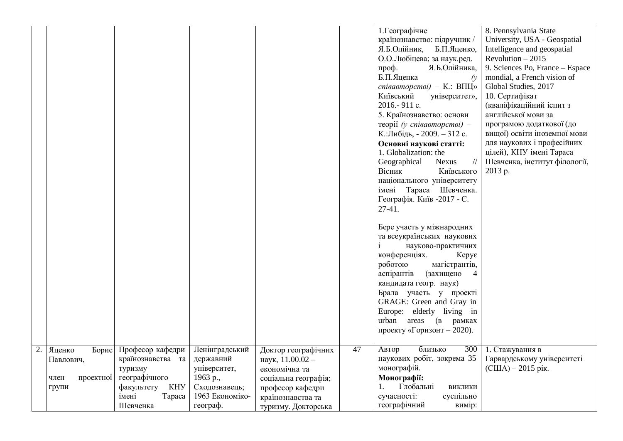|                                                            |                                                                                                                              |                                                                                                         |                                                                                                                                                  |    | 1. Географічне<br>країнознавство: підручник /<br>Я.Б.Олійник,<br>Б.П.Яценко,<br>О.О.Любіцева; за наук.ред.<br>Я.Б.Олійника,<br>проф.<br>Б.П.Яценка<br>$\alpha$<br>співавторстві) – К.: ВПЦ»<br>Київський<br>університет»,<br>2016.-911 c.<br>5. Країнознавство: основи<br>$\tau$ eopiï (y cnieaemopcmei) -<br>К.:Либідь, - 2009. - 312 с.<br>Основні наукові статті:<br>1. Globalization: the<br>Geographical<br><b>Nexus</b><br>$\frac{1}{2}$<br>Вісник<br>Київського<br>національного університету<br>імені Тараса Шевченка.<br>Географія. Київ -2017 - С.<br>$27-41.$<br>Бере участь у міжнародних<br>та всеукраїнських наукових<br>науково-практичних<br>конференціях.<br>$Key\varepsilon$<br>роботою<br>магістрантів,<br>(захищено<br>аспірантів<br>$\overline{4}$<br>кандидата геогр. наук)<br>Брала участь у проекті<br>GRAGE: Green and Gray in<br>Europe: elderly living in<br>urban areas (B<br>рамках<br>проекту «Горизонт - 2020). | 8. Pennsylvania State<br>University, USA - Geospatial<br>Intelligence and geospatial<br>Revolution $-2015$<br>9. Sciences Po, France - Espace<br>mondial, a French vision of<br>Global Studies, 2017<br>10. Сертифікат<br>(кваліфікаційний іспит з<br>англійської мови за<br>програмою додаткової (до<br>вищої) освіти іноземної мови<br>для наукових і професійних<br>цілей), КНУ імені Тараса<br>Шевченка, інститут філології,<br>2013 p. |
|------------------------------------------------------------|------------------------------------------------------------------------------------------------------------------------------|---------------------------------------------------------------------------------------------------------|--------------------------------------------------------------------------------------------------------------------------------------------------|----|------------------------------------------------------------------------------------------------------------------------------------------------------------------------------------------------------------------------------------------------------------------------------------------------------------------------------------------------------------------------------------------------------------------------------------------------------------------------------------------------------------------------------------------------------------------------------------------------------------------------------------------------------------------------------------------------------------------------------------------------------------------------------------------------------------------------------------------------------------------------------------------------------------------------------------------------|---------------------------------------------------------------------------------------------------------------------------------------------------------------------------------------------------------------------------------------------------------------------------------------------------------------------------------------------------------------------------------------------------------------------------------------------|
| Борис<br>Яценко<br>Павлович,<br>проектної<br>член<br>групи | Професор кафедри<br>країнознавства та<br>туризму<br>географічного<br><b>KHY</b><br>факультету<br>імені<br>Tapaca<br>Шевченка | Ленінградський<br>державний<br>університет,<br>1963 p.,<br>Сходознавець;<br>1963 Економіко-<br>географ. | Доктор географічних<br>наук, 11.00.02 -<br>економічна та<br>соціальна географія;<br>професор кафедри<br>країнознавства та<br>туризму. Докторська | 47 | близько<br>300<br>Автор<br>наукових робіт, зокрема 35<br>монографій.<br>Монографії:<br>Глобальні<br>ВИКЛИКИ<br>сучасності:<br>суспільно<br>географічний<br>вимір:                                                                                                                                                                                                                                                                                                                                                                                                                                                                                                                                                                                                                                                                                                                                                                              | 1. Стажування в<br>Гарвардському університеті<br>$\text{(CIIIA)} - 2015 \text{ pix}.$                                                                                                                                                                                                                                                                                                                                                       |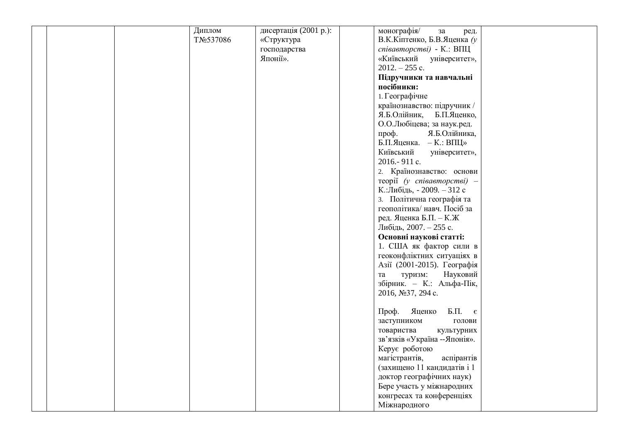|  | Диплом     | дисертація (2001 р.): | монографія/<br>${\bf 3a}$<br>ред.  |  |
|--|------------|-----------------------|------------------------------------|--|
|  | TNo 537086 | «Структура            | В.К.Кіптенко, Б.В.Яценка (у        |  |
|  |            | господарства          | співавторстві) - К.: ВПЦ           |  |
|  |            | Японії».              | «Київський університет»,           |  |
|  |            |                       | $2012. - 255$ c.                   |  |
|  |            |                       |                                    |  |
|  |            |                       | Підручники та навчальні            |  |
|  |            |                       | посібники:                         |  |
|  |            |                       | 1. Географічне                     |  |
|  |            |                       | країнознавство: підручник /        |  |
|  |            |                       | Я.Б.Олійник, Б.П.Яценко,           |  |
|  |            |                       | О.О.Любіцева; за наук.ред.         |  |
|  |            |                       | проф.<br>Я.Б.Олійника,             |  |
|  |            |                       | Б.П.Яценка. - К.: ВПЦ»             |  |
|  |            |                       | Київський<br>університет»,         |  |
|  |            |                       | 2016.-911 c.                       |  |
|  |            |                       | 2. Країнознавство: основи          |  |
|  |            |                       | $\tau$ eopiï (y cnieaemopcmei) -   |  |
|  |            |                       | К.:Либідь, - 2009. - 312 с         |  |
|  |            |                       | 3. Політична географія та          |  |
|  |            |                       | геополітика/навч. Посіб за         |  |
|  |            |                       | ред. Яценка Б.П. - К.Ж             |  |
|  |            |                       | Либідь, 2007. - 255 с.             |  |
|  |            |                       | Основні наукові статті:            |  |
|  |            |                       | 1. США як фактор сили в            |  |
|  |            |                       | геоконфліктних ситуаціях в         |  |
|  |            |                       | Азії (2001-2015). Географія        |  |
|  |            |                       | Науковий<br>туризм:                |  |
|  |            |                       | та<br>збірник. - К.: Альфа-Пік,    |  |
|  |            |                       | 2016, №37, 294 с.                  |  |
|  |            |                       |                                    |  |
|  |            |                       | Яценко<br>Б.П. $\epsilon$<br>Проф. |  |
|  |            |                       |                                    |  |
|  |            |                       | заступником<br>голови              |  |
|  |            |                       | товариства<br>культурних           |  |
|  |            |                       | зв'язків «Україна -- Японія».      |  |
|  |            |                       | Керує роботою                      |  |
|  |            |                       | аспірантів<br>магістрантів,        |  |
|  |            |                       | (захищено 11 кандидатів і 1        |  |
|  |            |                       | доктор географічних наук)          |  |
|  |            |                       | Бере участь у міжнародних          |  |
|  |            |                       | конгресах та конференціях          |  |
|  |            |                       | Міжнародного                       |  |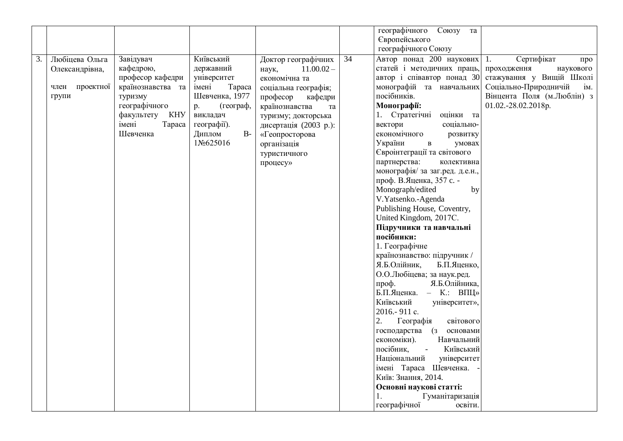| географічного Союзу                                                                                                                                                                                                                                                                                                                                                                                                                                                                                                                                                                                                                                                                                                                                                                                                                                                                                                                                                                                                                                                                                                                                                                                                                                                                                                                                                                                                                                                                                                                                                                                                                                                                                         |                                                                                                                                                                      |
|-------------------------------------------------------------------------------------------------------------------------------------------------------------------------------------------------------------------------------------------------------------------------------------------------------------------------------------------------------------------------------------------------------------------------------------------------------------------------------------------------------------------------------------------------------------------------------------------------------------------------------------------------------------------------------------------------------------------------------------------------------------------------------------------------------------------------------------------------------------------------------------------------------------------------------------------------------------------------------------------------------------------------------------------------------------------------------------------------------------------------------------------------------------------------------------------------------------------------------------------------------------------------------------------------------------------------------------------------------------------------------------------------------------------------------------------------------------------------------------------------------------------------------------------------------------------------------------------------------------------------------------------------------------------------------------------------------------|----------------------------------------------------------------------------------------------------------------------------------------------------------------------|
|                                                                                                                                                                                                                                                                                                                                                                                                                                                                                                                                                                                                                                                                                                                                                                                                                                                                                                                                                                                                                                                                                                                                                                                                                                                                                                                                                                                                                                                                                                                                                                                                                                                                                                             |                                                                                                                                                                      |
| Автор понад 200 наукових 1.<br>Завідувач<br>Київський<br>3.<br>Любіцева Ольга<br>Доктор географічних<br>34<br>статей і методичних праць,<br>кафедрою,<br>державний<br>$11.00.02 -$<br>Олександрівна,<br>наук,<br>автор і співавтор понад 30<br>професор кафедри<br>університет<br>економічна та<br>країнознавства та<br>монографій та навчальних<br>член проектної<br>імені<br>Tapaca<br>соціальна географія;<br>посібників.<br>туризму<br>Шевченка, 1977<br>групи<br>професор<br>кафедри<br>географічного<br>(географ,<br>Монографії:<br>p.<br>країнознавства<br>та<br>KHY<br>викладач<br>1. Стратегічні<br>оцінки та<br>факультету<br>туризму; докторська<br>імені<br>Tapaca<br>географії).<br>вектори<br>соціально-<br>дисертація (2003 р.):<br>економічного<br>Шевченка<br>Диплом<br>$B-$<br>«Геопросторова<br>розвитку<br>1No625016<br>України<br>умовах<br>$\, {\bf B}$<br>організація<br>Євроінтеграції та світового<br>туристичного<br>партнерства:<br>колективна<br>процесу»<br>монографія/ за заг.ред. д.е.н.,<br>проф. В.Яценка, 357 с. -<br>Monograph/edited<br>V.Yatsenko.-Agenda<br>Publishing House, Coventry,<br>United Kingdom, 2017C.<br>Підручники та навчальні<br>посібники:<br>1. Географічне<br>країнознавство: підручник /<br>Я.Б.Олійник,<br>Б.П.Яценко,<br>О.О.Любіцева; за наук.ред.<br>проф.<br>Я.Б.Олійника,<br>Б.П.Яценка. - К.: ВПЦ»<br>Київський<br>університет»,<br>2016.-911 c.<br>2.<br>Географія<br>світового<br>господарства (з<br>основами<br>економіки).<br>Навчальний<br>посібник,<br>$\omega$<br>Київський<br>Національний<br>університет<br>імені Тараса Шевченка.<br>Київ: Знання, 2014.<br>Основні наукові статті:<br>Гуманітаризація<br>географічної<br>освіти. | Сертифікат<br>про<br>проходження<br>наукового<br>стажування у Вищій Школі<br>Соціально-Природничій<br>iM.<br>Вінцента Поля (м.Люблін) з<br>01.02.-28.02.2018p.<br>by |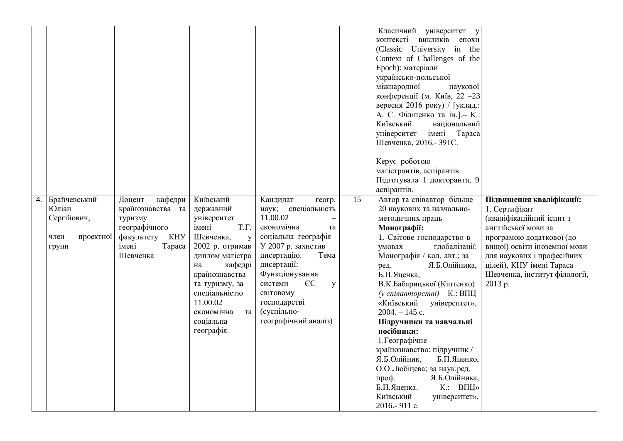|    |                                                                    |                                                                                                                        |                                                                                                                                                                                                                                                 |                                                                                                                                                                                                                                                                                    |                 | Класичний університет у<br>контексті викликів епохи<br>(Classic University in the<br>Context of Challenges of the<br>Epoch): матеріали<br>українсько-польської<br>міжнародної<br>наукової<br>конференції (м. Київ, 22 - 23<br>вересня 2016 року) / [уклад.:<br>А. С. Філіпенко та ін.]. - К.:<br>Київський<br>національний<br>імені Тараса<br>університет<br>Шевченка, 2016. - 391С.                                                                                                                                                                                                                              |                                                                                                                                                                                                                                                                |
|----|--------------------------------------------------------------------|------------------------------------------------------------------------------------------------------------------------|-------------------------------------------------------------------------------------------------------------------------------------------------------------------------------------------------------------------------------------------------|------------------------------------------------------------------------------------------------------------------------------------------------------------------------------------------------------------------------------------------------------------------------------------|-----------------|-------------------------------------------------------------------------------------------------------------------------------------------------------------------------------------------------------------------------------------------------------------------------------------------------------------------------------------------------------------------------------------------------------------------------------------------------------------------------------------------------------------------------------------------------------------------------------------------------------------------|----------------------------------------------------------------------------------------------------------------------------------------------------------------------------------------------------------------------------------------------------------------|
|    |                                                                    |                                                                                                                        |                                                                                                                                                                                                                                                 |                                                                                                                                                                                                                                                                                    |                 | Керує роботою<br>магістрантів, аспірантів.<br>Підготувала 1 докторанта, 9                                                                                                                                                                                                                                                                                                                                                                                                                                                                                                                                         |                                                                                                                                                                                                                                                                |
| 4. | Брайчевський<br>Юліан<br>Сергійович,<br>проектної<br>член<br>групи | Доцент<br>кафедри<br>країнознавства та<br>туризму<br>географічного<br>факультету<br>KHY<br>імені<br>Tapaca<br>Шевченка | Київський<br>державний<br>університет<br>імені<br>T.Γ.<br>Шевченка,<br>y<br>2002 р. отримав<br>диплом магістра<br>кафедрі<br>на<br>країнознавства<br>та туризму, за<br>спеціальністю<br>11.00.02<br>економічна<br>та<br>соціальна<br>географія. | Кандидат<br>геогр.<br>наук; спеціальність<br>11.00.02<br>економічна<br>та<br>соціальна географія<br>У 2007 р. захистив<br>дисертацію.<br>Тема<br>дисертації:<br>Функціонування<br>$\epsilon$ C<br>системи<br>y<br>світовому<br>господарстві<br>(суспільно-<br>географічний аналіз) | $\overline{15}$ | аспірантів.<br>Автор та співавтор більше<br>20 наукових та навчально-<br>методичних праць<br>Монографії:<br>1. Світове господарство в<br>умовах<br>глобалізації:<br>Монографія / кол. авт.; за<br>Я.Б.Олійника,<br>ред.<br>Б.П.Яценка,<br>В.К.Бабарицької (Кіптенко)<br>(у співавторстві) $-K$ .: ВПЦ<br>«Київський<br>університет»,<br>$2004. - 145$ c.<br>Підручники та навчальні<br>посібники:<br>1. Географічне<br>країнознавство: підручник /<br>Я.Б.Олійник,<br>Б.П.Яценко,<br>О.О.Любіцева; за наук.ред.<br>проф.<br>Я.Б.Олійника,<br>Б.П.Яценка. - К.: ВПЦ»<br>Київський<br>університет»,<br>2016.-911 c. | Підвищення кваліфікації:<br>1. Сертифікат<br>(кваліфікаційний іспит з<br>англійської мови за<br>програмою додаткової (до<br>вищої) освіти іноземної мови<br>для наукових і професійних<br>цілей), КНУ імені Тараса<br>Шевченка, інститут філології,<br>2013 p. |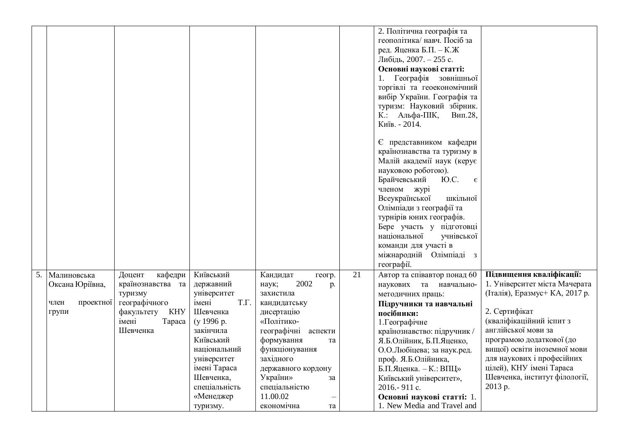|                   |                   |               |                        |    | 2. Політична географія та          |                                |
|-------------------|-------------------|---------------|------------------------|----|------------------------------------|--------------------------------|
|                   |                   |               |                        |    | геополітика/навч. Посіб за         |                                |
|                   |                   |               |                        |    | ред. Яценка Б.П. – К.Ж             |                                |
|                   |                   |               |                        |    | Либідь, 2007. - 255 с.             |                                |
|                   |                   |               |                        |    | Основні наукові статті:            |                                |
|                   |                   |               |                        |    | Географія зовнішньої               |                                |
|                   |                   |               |                        |    | торгівлі та геоекономічний         |                                |
|                   |                   |               |                        |    | вибір України. Географія та        |                                |
|                   |                   |               |                        |    | туризм: Науковий збірник.          |                                |
|                   |                   |               |                        |    | К.: Альфа-ПІК,<br>Вип.28,          |                                |
|                   |                   |               |                        |    | Київ. - 2014.                      |                                |
|                   |                   |               |                        |    |                                    |                                |
|                   |                   |               |                        |    | Є представником кафедри            |                                |
|                   |                   |               |                        |    | країнознавства та туризму в        |                                |
|                   |                   |               |                        |    | Малій академії наук (керує         |                                |
|                   |                   |               |                        |    | науковою роботою).                 |                                |
|                   |                   |               |                        |    | Брайчевський<br>Ю.С.<br>$\epsilon$ |                                |
|                   |                   |               |                        |    | членом журі                        |                                |
|                   |                   |               |                        |    | Всеукраїнської<br>шкільної         |                                |
|                   |                   |               |                        |    | Олімпіади з географії та           |                                |
|                   |                   |               |                        |    | турнірів юних географів.           |                                |
|                   |                   |               |                        |    | Бере участь у підготовці           |                                |
|                   |                   |               |                        |    | національної<br>учнівської         |                                |
|                   |                   |               |                        |    | команди для участі в               |                                |
|                   |                   |               |                        |    | міжнародній Олімпіаді з            |                                |
|                   |                   |               |                        |    | географії.                         |                                |
| 5. Малиновська    | Доцент<br>кафедри | Київський     | Кандидат<br>геогр.     | 21 | Автор та співавтор понад 60        | Підвищення кваліфікації:       |
| Оксана Юріївна,   | країнознавства та | державний     | 2002<br>наук;<br>p.    |    | наукових та навчально-             | 1. Університет міста Мачерата  |
|                   | туризму           | університет   | захистила              |    | методичних праць:                  | (Італія), Еразмус+ КА, 2017 р. |
| проектної<br>член | географічного     | T.Γ.<br>імені | кандидатську           |    | Підручники та навчальні            |                                |
| групи             | факультету<br>KHY | Шевченка      | дисертацію             |    | посібники:                         | 2. Сертифікат                  |
|                   | імені<br>Tapaca   | (y 1996 p.    | «Політико-             |    | 1. Географічне                     | (кваліфікаційний іспит з       |
|                   | Шевченка          | закінчила     | географічні<br>аспекти |    | країнознавство: підручник /        | англійської мови за            |
|                   |                   | Київський     | формування<br>та       |    | Я.Б.Олійник, Б.П.Яценко,           | програмою додаткової (до       |
|                   |                   | національний  | функціонування         |    | О.О.Любіцева; за наук.ред.         | вищої) освіти іноземної мови   |
|                   |                   | університет   | західного              |    | проф. Я.Б.Олійника,                | для наукових і професійних     |
|                   |                   | імені Тараса  | державного кордону     |    | Б.П.Яценка. - К.: ВПЦ»             | цілей), КНУ імені Тараса       |
|                   |                   | Шевченка,     | України»<br>за         |    | Київський університет»,            | Шевченка, інститут філології,  |
|                   |                   | спеціальність | спеціальністю          |    | 2016.-911 c.                       | 2013 p.                        |
|                   |                   | «Менеджер     | 11.00.02               |    | Основні наукові статті: 1.         |                                |
|                   |                   | туризму.      | економічна<br>та       |    | 1. New Media and Travel and        |                                |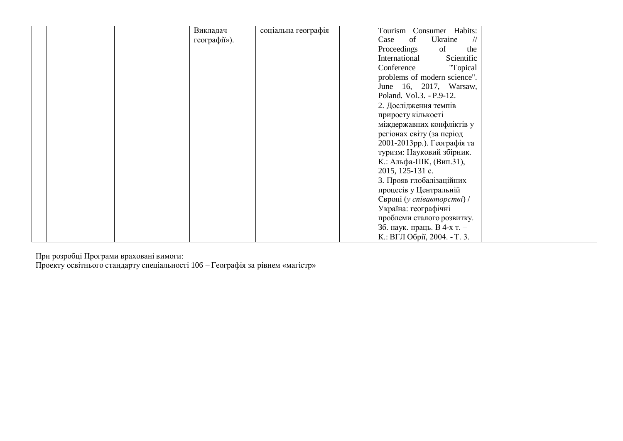При розробці Програми враховані вимоги:

Проекту освітнього стандарту спеціальності 106 – Географія за рівнем «магістр»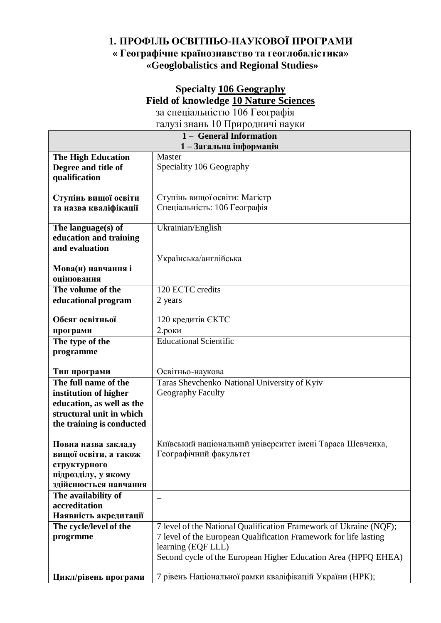### **1. ПРОФІЛЬ ОСВІТНЬО-НАУКОВОЇ ПРОГРАМИ « Географічне країнознавство та геоглобалістика» «Geoglobalistics and Regional Studies»**

#### **Specialty 106 Geography Field of knowledge 10 Nature Sciences** за спеціальністю 106 Географія

галузі знань 10 Природничі науки

|                                      | 1 - General Information                                           |
|--------------------------------------|-------------------------------------------------------------------|
|                                      | 1-Загальна інформація                                             |
| <b>The High Education</b>            | Master                                                            |
| Degree and title of                  | Speciality 106 Geography                                          |
| qualification                        |                                                                   |
|                                      |                                                                   |
| Ступінь вищої освіти                 | Ступінь вищої освіти: Магістр                                     |
| та назва кваліфікації                | Спеціальність: 106 Географія                                      |
| The language $(s)$ of                | Ukrainian/English                                                 |
| education and training               |                                                                   |
| and evaluation                       |                                                                   |
|                                      | Українська/англійська                                             |
| Мова(и) навчання і                   |                                                                   |
| оцінювання                           |                                                                   |
| The volume of the                    | 120 ECTC credits                                                  |
| educational program                  | 2 years                                                           |
|                                      |                                                                   |
| Обсяг освітньої                      | 120 кредитів ЄКТС                                                 |
| програми                             | $2.$ роки                                                         |
| The type of the                      | <b>Educational Scientific</b>                                     |
| programme                            |                                                                   |
|                                      |                                                                   |
| Тип програми                         | Освітньо-наукова                                                  |
| The full name of the                 | Taras Shevchenko National University of Kyiv                      |
| institution of higher                | Geography Faculty                                                 |
| education, as well as the            |                                                                   |
| structural unit in which             |                                                                   |
| the training is conducted            |                                                                   |
|                                      |                                                                   |
| Повна назва закладу                  | Київський національний університет імені Тараса Шевченка,         |
| вищої освіти, а також                | Географічний факультет                                            |
| структурного                         |                                                                   |
| підрозділу, у якому                  |                                                                   |
| здійснюється навчання                |                                                                   |
| The availability of<br>accreditation |                                                                   |
| Наявність акредитації                |                                                                   |
| The cycle/level of the               | 7 level of the National Qualification Framework of Ukraine (NQF); |
| progrmme                             | 7 level of the European Qualification Framework for life lasting  |
|                                      | learning (EQF LLL)                                                |
|                                      | Second cycle of the European Higher Education Area (HPFQ EHEA)    |
|                                      |                                                                   |
| Цикл/рівень програми                 | 7 рівень Національної рамки кваліфікацій України (НРК);           |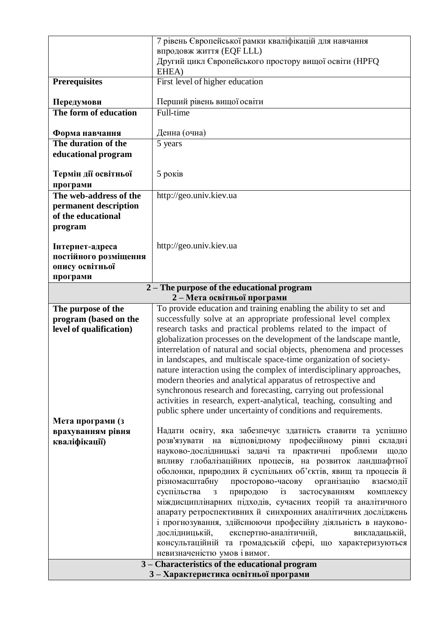|                                       | 7 рівень Європейської рамки кваліфікацій для навчання                                                |
|---------------------------------------|------------------------------------------------------------------------------------------------------|
|                                       | впродовж життя (EQF LLL)                                                                             |
|                                       | Другий цикл Європейського простору вищої освіти (НРГО                                                |
|                                       | EHEA)                                                                                                |
| <b>Prerequisites</b>                  | First level of higher education                                                                      |
| Передумови                            | Перший рівень вищої освіти                                                                           |
| The form of education                 | Full-time                                                                                            |
|                                       |                                                                                                      |
| Форма навчання                        | Денна (очна)                                                                                         |
| The duration of the                   | 5 years                                                                                              |
| educational program                   |                                                                                                      |
| Термін дії освітньої                  | 5 років                                                                                              |
| програми                              |                                                                                                      |
| The web-address of the                | http://geo.univ.kiev.ua                                                                              |
| permanent description                 |                                                                                                      |
| of the educational                    |                                                                                                      |
| program                               |                                                                                                      |
|                                       |                                                                                                      |
| Інтернет-адреса                       | http://geo.univ.kiev.ua                                                                              |
| постійного розміщення                 |                                                                                                      |
| опису освітньої                       |                                                                                                      |
| програми                              |                                                                                                      |
|                                       | 2 – The purpose of the educational program                                                           |
| The purpose of the                    | 2-Мета освітньої програми<br>To provide education and training enabling the ability to set and       |
| program (based on the                 | successfully solve at an appropriate professional level complex                                      |
| level of qualification)               | research tasks and practical problems related to the impact of                                       |
|                                       | globalization processes on the development of the landscape mantle,                                  |
|                                       | interrelation of natural and social objects, phenomena and processes                                 |
|                                       | in landscapes, and multiscale space-time organization of society-                                    |
|                                       | nature interaction using the complex of interdisciplinary approaches,                                |
|                                       | modern theories and analytical apparatus of retrospective and                                        |
|                                       | synchronous research and forecasting, carrying out professional                                      |
|                                       | activities in research, expert-analytical, teaching, consulting and                                  |
|                                       | public sphere under uncertainty of conditions and requirements.                                      |
| Мета програми (з                      | Надати освіту, яка забезпечує здатність ставити та успішно                                           |
| врахуванням рівня<br>кваліфікації)    | розв'язувати на відповідному професійному рівні складні                                              |
|                                       | науково-дослідницькі задачі та практичні проблеми<br>щодо                                            |
|                                       | впливу глобалізаційних процесів, на розвиток ландшафтної                                             |
|                                       | оболонки, природних й суспільних об'єктів, явищ та процесів й                                        |
|                                       | різномасштабну просторово-часову організацію<br>взаємодії                                            |
|                                       | $\mathbf{i}$ <sub>3</sub><br>суспільства<br>природою<br>застосуванням<br>комплексу<br>$\overline{3}$ |
|                                       | міждисциплінарних підходів, сучасних теорій та аналітичного                                          |
|                                       | апарату ретроспективних й синхронних аналітичних досліджень                                          |
|                                       | і прогнозування, здійснюючи професійну діяльність в науково-                                         |
|                                       | дослідницькій, експертно-аналітичній,<br>викладацькій,                                               |
|                                       | консультаційній та громадській сфері, що характеризуються<br>невизначеністю умов і вимог.            |
|                                       | 3 - Characteristics of the educational program                                                       |
| 3 – Характеристика освітньої програми |                                                                                                      |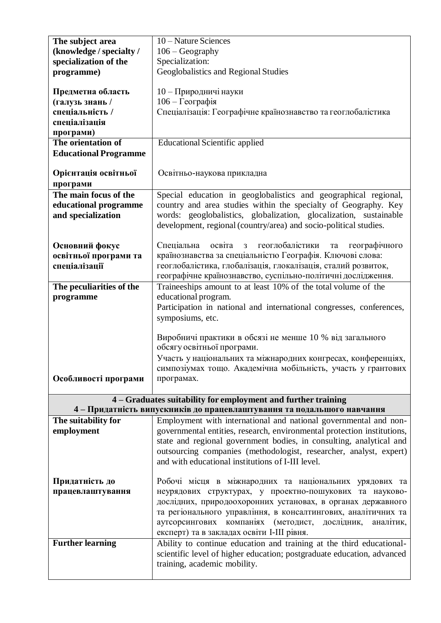| The subject area             | 10 – Nature Sciences                                                                                                                    |
|------------------------------|-----------------------------------------------------------------------------------------------------------------------------------------|
| (knowledge / specialty /     | $106 - Geography$                                                                                                                       |
| specialization of the        | Specialization:                                                                                                                         |
| programme)                   | Geoglobalistics and Regional Studies                                                                                                    |
|                              |                                                                                                                                         |
| Предметна область            | 10 - Природничі науки                                                                                                                   |
| (галузь знань /              | 106 - Географія                                                                                                                         |
| спеціальність /              | Спеціалізація: Географічне країнознавство та геоглобалістика                                                                            |
| спеціалізація                |                                                                                                                                         |
| програми)                    |                                                                                                                                         |
| The orientation of           | <b>Educational Scientific applied</b>                                                                                                   |
| <b>Educational Programme</b> |                                                                                                                                         |
|                              |                                                                                                                                         |
| Орієнтація освітньої         | Освітньо-наукова прикладна                                                                                                              |
| програми                     |                                                                                                                                         |
| The main focus of the        | Special education in geoglobalistics and geographical regional,                                                                         |
| educational programme        | country and area studies within the specialty of Geography. Key                                                                         |
| and specialization           | words: geoglobalistics, globalization, glocalization, sustainable                                                                       |
|                              |                                                                                                                                         |
|                              | development, regional (country/area) and socio-political studies.                                                                       |
|                              | освіта<br>геоглобалістики<br>Спеціальна<br>географічного<br>3<br>та                                                                     |
| Основний фокус               | країнознавства за спеціальністю Географія. Ключові слова:                                                                               |
| освітньої програми та        |                                                                                                                                         |
| спеціалізації                | геоглобалістика, глобалізація, глокалізація, сталий розвиток,                                                                           |
|                              | географічне країнознавство, суспільно-політичні дослідження.                                                                            |
| The peculiarities of the     | Traineeships amount to at least 10% of the total volume of the                                                                          |
| programme                    | educational program.                                                                                                                    |
|                              | Participation in national and international congresses, conferences,                                                                    |
|                              | symposiums, etc.                                                                                                                        |
|                              |                                                                                                                                         |
|                              | Виробничі практики в обсязі не менше 10 % від загального<br>обсягу освітньої програми.                                                  |
|                              |                                                                                                                                         |
|                              | Участь у національних та міжнародних конгресах, конференціях,                                                                           |
|                              | симпозіумах тощо. Академічна мобільність, участь у грантових                                                                            |
| Особливості програми         | програмах.                                                                                                                              |
|                              |                                                                                                                                         |
|                              | 4 – Graduates suitability for employment and further training<br>4 - Придатність випускників до працевлаштування та подальшого навчання |
|                              |                                                                                                                                         |
| The suitability for          | Employment with international and national governmental and non-                                                                        |
| employment                   | governmental entities, research, environmental protection institutions,                                                                 |
|                              | state and regional government bodies, in consulting, analytical and                                                                     |
|                              | outsourcing companies (methodologist, researcher, analyst, expert)                                                                      |
|                              | and with educational institutions of I-III level.                                                                                       |
|                              |                                                                                                                                         |
| Придатність до               | Робочі місця в міжнародних та національних урядових та                                                                                  |
| працевлаштування             | неурядових структурах, у проектно-пошукових та науково-                                                                                 |
|                              | дослідних, природоохоронних установах, в органах державного                                                                             |
|                              | та регіонального управління, в консалтингових, аналітичних та                                                                           |
|                              | аутсорсингових компаніях (методист, дослідник,<br>аналітик,                                                                             |
|                              | експерт) та в закладах освіти I-III рівня.                                                                                              |
| <b>Further learning</b>      | Ability to continue education and training at the third educational-                                                                    |
|                              | scientific level of higher education; postgraduate education, advanced                                                                  |
|                              | training, academic mobility.                                                                                                            |
|                              |                                                                                                                                         |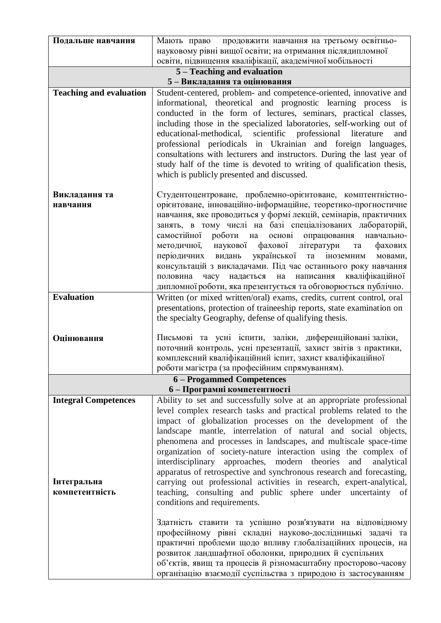| Подальше навчання              | Мають право продовжити навчання на третьому освітньо-                                                                             |
|--------------------------------|-----------------------------------------------------------------------------------------------------------------------------------|
|                                | науковому рівні вищої освіти; на отримання післядипломної                                                                         |
|                                | освіти, підвищення кваліфікації, академічної мобільності                                                                          |
| 5 - Teaching and evaluation    |                                                                                                                                   |
|                                | 5-Викладання та оцінювання                                                                                                        |
| <b>Teaching and evaluation</b> | Student-centered, problem- and competence-oriented, innovative and                                                                |
|                                | informational, theoretical and prognostic learning process is                                                                     |
|                                | conducted in the form of lectures, seminars, practical classes,                                                                   |
|                                | including those in the specialized laboratories, self-working out of                                                              |
|                                | educational-methodical, scientific professional literature<br>and<br>professional periodicals in Ukrainian and foreign languages, |
|                                | consultations with lecturers and instructors. During the last year of                                                             |
|                                | study half of the time is devoted to writing of qualification thesis,                                                             |
|                                | which is publicly presented and discussed.                                                                                        |
|                                |                                                                                                                                   |
| Викладання та                  | Студентоцентроване, проблемно-орієнтоване, комптентністно-                                                                        |
| навчання                       | орієнтоване, інноваційно-інформаційне, теоретико-прогностичне                                                                     |
|                                | навчання, яке проводиться у формі лекцій, семінарів, практичних                                                                   |
|                                | занять, в тому числі на базі спеціалізованих лабораторій,                                                                         |
|                                | самостійної роботи на<br>основі опрацювання навчально-                                                                            |
|                                | методичної, наукової фахової літератури<br>фахових<br>та                                                                          |
|                                | періодичних видань української та<br>іноземним<br>мовами,                                                                         |
|                                | консультацій з викладачами. Під час останнього року навчання<br>половина часу надається на написання кваліфікаційної              |
|                                | дипломної роботи, яка презентується та обговорюється публічно.                                                                    |
| <b>Evaluation</b>              | Written (or mixed written/oral) exams, credits, current control, oral                                                             |
|                                | presentations, protection of traineeship reports, state examination on                                                            |
|                                | the specialty Geography, defense of qualifying thesis.                                                                            |
|                                |                                                                                                                                   |
| Оцінювання                     | Письмові та усні іспити, заліки, диференційовані заліки,                                                                          |
|                                | поточний контроль, усні презентації, захист звітів з практики,                                                                    |
|                                | комплексний кваліфікаційний іспит, захист кваліфікаційної                                                                         |
|                                | роботи магістра (за професійним спрямуванням).                                                                                    |
|                                | 6 - Progammed Competences<br>6 - Програмні компетентності                                                                         |
| <b>Integral Competences</b>    | Ability to set and successfully solve at an appropriate professional                                                              |
|                                | level complex research tasks and practical problems related to the                                                                |
|                                | impact of globalization processes on the development of the                                                                       |
|                                | landscape mantle, interrelation of natural and social objects,                                                                    |
|                                | phenomena and processes in landscapes, and multiscale space-time                                                                  |
|                                | organization of society-nature interaction using the complex of                                                                   |
|                                | interdisciplinary approaches, modern theories<br>and<br>analytical                                                                |
|                                | apparatus of retrospective and synchronous research and forecasting,                                                              |
| Інтегральна                    | carrying out professional activities in research, expert-analytical,                                                              |
| компетентність                 | teaching, consulting and public sphere under uncertainty of                                                                       |
|                                | conditions and requirements.                                                                                                      |
|                                | Здатність ставити та успішно розв'язувати на відповідному                                                                         |
|                                | професійному рівні складні науково-дослідницькі задачі та                                                                         |
|                                | практичні проблеми щодо впливу глобалізаційних процесів, на                                                                       |
|                                | розвиток ландшафтної оболонки, природних й суспільних                                                                             |
|                                | об'єктів, явищ та процесів й різномасштабну просторово-часову                                                                     |
|                                | організацію взаємодії суспільства з природою із застосуванням                                                                     |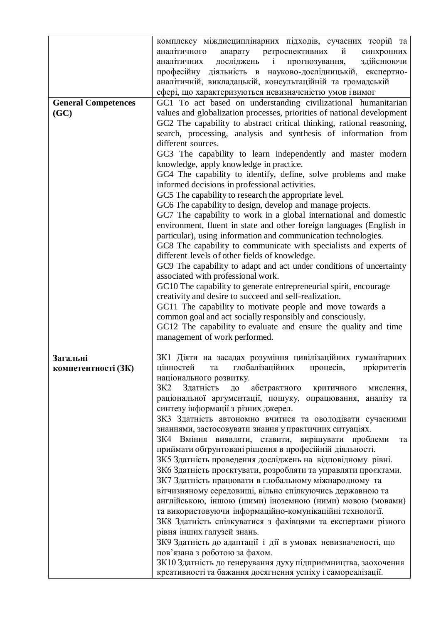|                            | комплексу міждисциплінарних підходів, сучасних теорій та                                                                               |
|----------------------------|----------------------------------------------------------------------------------------------------------------------------------------|
|                            | апарату ретроспективних й<br>аналітичного<br>синхронних                                                                                |
|                            | здійснюючи<br>досліджень<br>аналітичних<br>прогнозування,<br>$\mathbf{i}$                                                              |
|                            | професійну діяльність в науково-дослідницькій,<br>експертно-                                                                           |
|                            | аналітичній, викладацькій, консультаційній та громадській                                                                              |
|                            | сфері, що характеризуються невизначеністю умов і вимог                                                                                 |
| <b>General Competences</b> | GC1 To act based on understanding civilizational humanitarian                                                                          |
| (GC)                       | values and globalization processes, priorities of national development                                                                 |
|                            | GC2 The capability to abstract critical thinking, rational reasoning,                                                                  |
|                            | search, processing, analysis and synthesis of information from                                                                         |
|                            | different sources.                                                                                                                     |
|                            | GC3 The capability to learn independently and master modern                                                                            |
|                            | knowledge, apply knowledge in practice.                                                                                                |
|                            | GC4 The capability to identify, define, solve problems and make                                                                        |
|                            | informed decisions in professional activities.                                                                                         |
|                            | GC5 The capability to research the appropriate level.                                                                                  |
|                            | GC6 The capability to design, develop and manage projects.                                                                             |
|                            | GC7 The capability to work in a global international and domestic                                                                      |
|                            | environment, fluent in state and other foreign languages (English in<br>particular), using information and communication technologies. |
|                            | GC8 The capability to communicate with specialists and experts of                                                                      |
|                            | different levels of other fields of knowledge.                                                                                         |
|                            | GC9 The capability to adapt and act under conditions of uncertainty                                                                    |
|                            | associated with professional work.                                                                                                     |
|                            | GC10 The capability to generate entrepreneurial spirit, encourage                                                                      |
|                            | creativity and desire to succeed and self-realization.                                                                                 |
|                            | GC11 The capability to motivate people and move towards a                                                                              |
|                            | common goal and act socially responsibly and consciously.                                                                              |
|                            | GC12 The capability to evaluate and ensure the quality and time                                                                        |
|                            | management of work performed.                                                                                                          |
| Загальні                   | ЗК1 Діяти на засадах розуміння цивілізаційних гуманітарних                                                                             |
| компетентності (ЗК)        | цінностей та глобалізаційних процесів, пріоритетів                                                                                     |
|                            | національного розвитку.                                                                                                                |
|                            | 3K2<br>Здатність<br>абстрактного<br>до<br>критичного<br>мислення,                                                                      |
|                            | раціональної аргументації, пошуку, опрацювання,<br>аналізу та                                                                          |
|                            | синтезу інформації з різних джерел.                                                                                                    |
|                            | ЗКЗ Здатність автономно вчитися та оволодівати сучасними                                                                               |
|                            | знаннями, застосовувати знання у практичних ситуаціях.                                                                                 |
|                            | ЗК4 Вміння виявляти, ставити, вирішувати проблеми<br>та                                                                                |
|                            | приймати обгрунтовані рішення в професійній діяльності.                                                                                |
|                            | ЗК5 Здатність проведення досліджень на відповідному рівні.                                                                             |
|                            | ЗК6 Здатність проєктувати, розробляти та управляти проєктами.                                                                          |
|                            | ЗК7 Здатність працювати в глобальному міжнародному та                                                                                  |
|                            | вітчизняному середовищі, вільно спілкуючись державною та                                                                               |
|                            | англійською, іншою (шими) іноземною (ними) мовою (мовами)<br>та використовуючи інформаційно-комунікаційні технології.                  |
|                            | ЗК8 Здатність спілкуватися з фахівцями та експертами різного                                                                           |
|                            | рівня інших галузей знань.                                                                                                             |
|                            | ЗК9 Здатність до адаптації і дії в умовах невизначеності, що                                                                           |
|                            | пов'язана з роботою за фахом.                                                                                                          |
|                            | ЗК10 Здатність до генерування духу підприємництва, заохочення                                                                          |
|                            | креативності та бажання досягнення успіху і самореалізації.                                                                            |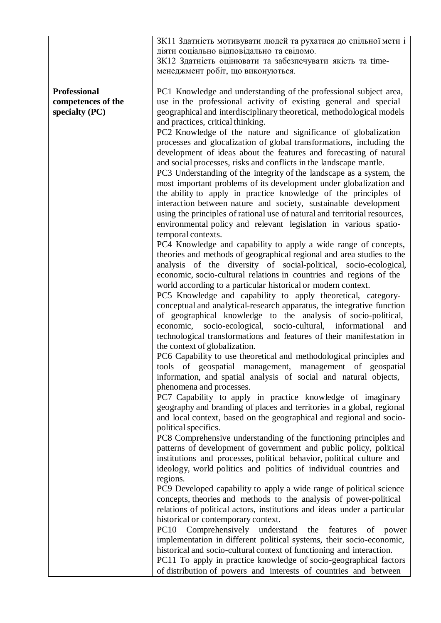|                                                             | ЗК11 Здатність мотивувати людей та рухатися до спільної мети і<br>діяти соціально відповідально та свідомо.<br>ЗК12 Здатність оцінювати та забезпечувати якість та time-<br>менеджмент робіт, що виконуються.                                                                                                                                          |
|-------------------------------------------------------------|--------------------------------------------------------------------------------------------------------------------------------------------------------------------------------------------------------------------------------------------------------------------------------------------------------------------------------------------------------|
| <b>Professional</b><br>competences of the<br>specialty (PC) | PC1 Knowledge and understanding of the professional subject area,<br>use in the professional activity of existing general and special<br>geographical and interdisciplinary theoretical, methodological models                                                                                                                                         |
|                                                             | and practices, critical thinking.                                                                                                                                                                                                                                                                                                                      |
|                                                             | PC2 Knowledge of the nature and significance of globalization<br>processes and glocalization of global transformations, including the<br>development of ideas about the features and forecasting of natural                                                                                                                                            |
|                                                             | and social processes, risks and conflicts in the landscape mantle.<br>PC3 Understanding of the integrity of the landscape as a system, the<br>most important problems of its development under globalization and<br>the ability to apply in practice knowledge of the principles of<br>interaction between nature and society, sustainable development |
|                                                             | using the principles of rational use of natural and territorial resources,<br>environmental policy and relevant legislation in various spatio-                                                                                                                                                                                                         |
|                                                             | temporal contexts.                                                                                                                                                                                                                                                                                                                                     |
|                                                             | PC4 Knowledge and capability to apply a wide range of concepts,<br>theories and methods of geographical regional and area studies to the<br>analysis of the diversity of social-political, socio-ecological,<br>economic, socio-cultural relations in countries and regions of the                                                                     |
|                                                             | world according to a particular historical or modern context.                                                                                                                                                                                                                                                                                          |
|                                                             | PC5 Knowledge and capability to apply theoretical, category-                                                                                                                                                                                                                                                                                           |
|                                                             | conceptual and analytical-research apparatus, the integrative function                                                                                                                                                                                                                                                                                 |
|                                                             | of geographical knowledge to the analysis of socio-political,                                                                                                                                                                                                                                                                                          |
|                                                             | economic, socio-ecological, socio-cultural, informational<br>and<br>technological transformations and features of their manifestation in                                                                                                                                                                                                               |
|                                                             | the context of globalization.                                                                                                                                                                                                                                                                                                                          |
|                                                             | PC6 Capability to use theoretical and methodological principles and<br>tools of geospatial management, management of geospatial<br>information, and spatial analysis of social and natural objects,                                                                                                                                                    |
|                                                             | phenomena and processes.                                                                                                                                                                                                                                                                                                                               |
|                                                             | PC7 Capability to apply in practice knowledge of imaginary                                                                                                                                                                                                                                                                                             |
|                                                             | geography and branding of places and territories in a global, regional<br>and local context, based on the geographical and regional and socio-<br>political specifics.                                                                                                                                                                                 |
|                                                             | PC8 Comprehensive understanding of the functioning principles and                                                                                                                                                                                                                                                                                      |
|                                                             | patterns of development of government and public policy, political                                                                                                                                                                                                                                                                                     |
|                                                             | institutions and processes, political behavior, political culture and                                                                                                                                                                                                                                                                                  |
|                                                             | ideology, world politics and politics of individual countries and<br>regions.                                                                                                                                                                                                                                                                          |
|                                                             | PC9 Developed capability to apply a wide range of political science                                                                                                                                                                                                                                                                                    |
|                                                             | concepts, theories and methods to the analysis of power-political<br>relations of political actors, institutions and ideas under a particular                                                                                                                                                                                                          |
|                                                             | historical or contemporary context.                                                                                                                                                                                                                                                                                                                    |
|                                                             | <b>PC10</b><br>Comprehensively understand the<br>features<br>of<br>power                                                                                                                                                                                                                                                                               |
|                                                             | implementation in different political systems, their socio-economic,<br>historical and socio-cultural context of functioning and interaction.                                                                                                                                                                                                          |
|                                                             | PC11 To apply in practice knowledge of socio-geographical factors                                                                                                                                                                                                                                                                                      |
|                                                             | of distribution of powers and interests of countries and between                                                                                                                                                                                                                                                                                       |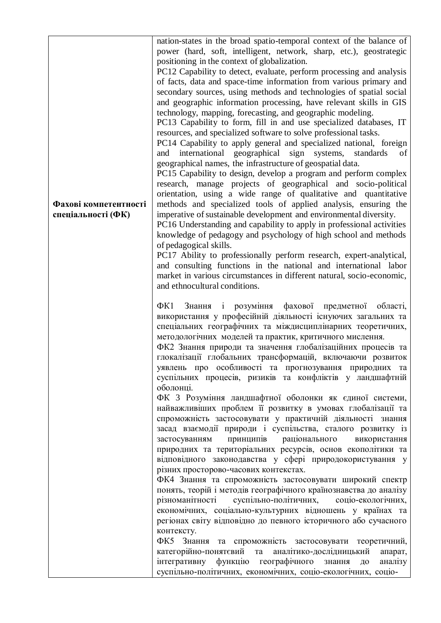| Фахові компетентності<br>спеціальності (ФК) | nation-states in the broad spatio-temporal context of the balance of<br>power (hard, soft, intelligent, network, sharp, etc.), geostrategic<br>positioning in the context of globalization.<br>PC12 Capability to detect, evaluate, perform processing and analysis<br>of facts, data and space-time information from various primary and<br>secondary sources, using methods and technologies of spatial social<br>and geographic information processing, have relevant skills in GIS<br>technology, mapping, forecasting, and geographic modeling.<br>PC13 Capability to form, fill in and use specialized databases, IT<br>resources, and specialized software to solve professional tasks.<br>PC14 Capability to apply general and specialized national, foreign<br>and international geographical sign systems,<br>standards<br>οf<br>geographical names, the infrastructure of geospatial data.<br>PC15 Capability to design, develop a program and perform complex<br>research, manage projects of geographical and socio-political<br>orientation, using a wide range of qualitative and quantitative<br>methods and specialized tools of applied analysis, ensuring the<br>imperative of sustainable development and environmental diversity.<br>PC16 Understanding and capability to apply in professional activities<br>knowledge of pedagogy and psychology of high school and methods<br>of pedagogical skills.<br>PC17 Ability to professionally perform research, expert-analytical,<br>and consulting functions in the national and international labor<br>market in various circumstances in different natural, socio-economic,<br>and ethnocultural conditions. |
|---------------------------------------------|-----------------------------------------------------------------------------------------------------------------------------------------------------------------------------------------------------------------------------------------------------------------------------------------------------------------------------------------------------------------------------------------------------------------------------------------------------------------------------------------------------------------------------------------------------------------------------------------------------------------------------------------------------------------------------------------------------------------------------------------------------------------------------------------------------------------------------------------------------------------------------------------------------------------------------------------------------------------------------------------------------------------------------------------------------------------------------------------------------------------------------------------------------------------------------------------------------------------------------------------------------------------------------------------------------------------------------------------------------------------------------------------------------------------------------------------------------------------------------------------------------------------------------------------------------------------------------------------------------------------------------------------------------------------------------------|
|                                             | і розуміння фахової предметної<br>$\Phi$ K1<br>Знання<br>області,<br>використання у професійній діяльності існуючих загальних та<br>спеціальних географічних та міждисциплінарних теоретичних,<br>методологічних моделей та практик, критичного мислення.<br>ФК2 Знання природи та значення глобалізаційних процесів та<br>глокалізації глобальних трансформацій, включаючи розвиток<br>уявлень про особливості та прогнозування природних та<br>суспільних процесів, ризиків та конфліктів у ландшафтній<br>оболонці.<br>ФК 3 Розуміння ландшафтної оболонки як єдиної системи,<br>найважливших проблем її розвитку в умовах глобалізації та<br>спроможність застосовувати у практичній діяльності знання<br>засад взаємодії природи і суспільства, сталого розвитку із<br>принципів<br>раціонального<br>застосуванням<br>використання<br>природних та територіальних ресурсів, основ екополітики та<br>відповідного законодавства у сфері природокористування у<br>різних просторово-часових контекстах.<br>ФК4 Знання та спроможність застосовувати широкий спектр<br>понять, теорій і методів географічного країнознавства до аналізу<br>різноманітності<br>суспільно-політичних,<br>соціо-екологічних,<br>економічних, соціально-культурних відношень у країнах та<br>регіонах світу відповідно до певного історичного або сучасного<br>контексту.<br>ФК5 Знання та спроможність застосовувати теоретичний,<br>категорійно-понятєвий та аналітико-дослідницький<br>апарат,<br>інтегративну функцію географічного<br>знання<br>аналізу<br>ДО<br>суспільно-політичних, економічних, соціо-екологічних, соціо-                                                                  |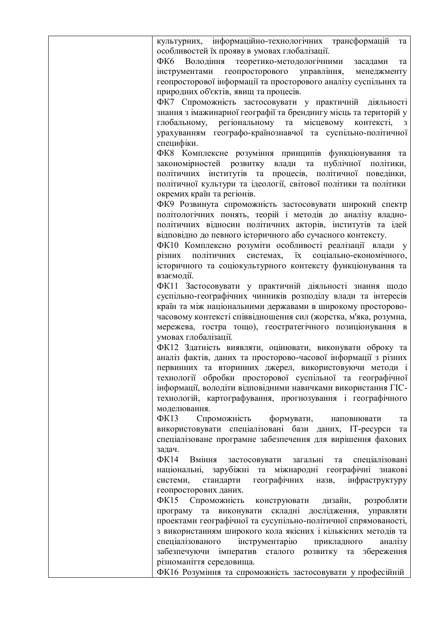| культурних, інформаційно-технологічних трансформацій<br>та<br>особливостей їх прояву в умовах глобалізації.<br>ФК6 Володіння теоретико-методологічними<br>засадами<br>та<br>інструментами геопросторового управління, менеджменту<br>геопросторової інформації та просторового аналізу суспільних та<br>природних об'єктів, явищ та процесів.<br>ФК7 Спроможність застосовувати у практичній діяльності<br>знання з імажинарної географії та брендингу місць та територій у<br>глобальному, регіональному та<br>місцевому<br>контексті,<br>3<br>урахуванням географо-країнознавчої та суспільно-політичної<br>специфіки.<br>ФК8 Комплексне розуміння принципів функціонування та<br>закономірностей розвитку влади та публічної політики,<br>політичних інститутів та процесів, політичної поведінки,<br>політичної культури та ідеології, світової політики та політики<br>окремих країн та регіонів.<br>ФК9 Розвинута спроможність застосовувати широкий спектр |
|-------------------------------------------------------------------------------------------------------------------------------------------------------------------------------------------------------------------------------------------------------------------------------------------------------------------------------------------------------------------------------------------------------------------------------------------------------------------------------------------------------------------------------------------------------------------------------------------------------------------------------------------------------------------------------------------------------------------------------------------------------------------------------------------------------------------------------------------------------------------------------------------------------------------------------------------------------------------|
|                                                                                                                                                                                                                                                                                                                                                                                                                                                                                                                                                                                                                                                                                                                                                                                                                                                                                                                                                                   |
|                                                                                                                                                                                                                                                                                                                                                                                                                                                                                                                                                                                                                                                                                                                                                                                                                                                                                                                                                                   |
|                                                                                                                                                                                                                                                                                                                                                                                                                                                                                                                                                                                                                                                                                                                                                                                                                                                                                                                                                                   |
|                                                                                                                                                                                                                                                                                                                                                                                                                                                                                                                                                                                                                                                                                                                                                                                                                                                                                                                                                                   |
|                                                                                                                                                                                                                                                                                                                                                                                                                                                                                                                                                                                                                                                                                                                                                                                                                                                                                                                                                                   |
|                                                                                                                                                                                                                                                                                                                                                                                                                                                                                                                                                                                                                                                                                                                                                                                                                                                                                                                                                                   |
|                                                                                                                                                                                                                                                                                                                                                                                                                                                                                                                                                                                                                                                                                                                                                                                                                                                                                                                                                                   |
|                                                                                                                                                                                                                                                                                                                                                                                                                                                                                                                                                                                                                                                                                                                                                                                                                                                                                                                                                                   |
|                                                                                                                                                                                                                                                                                                                                                                                                                                                                                                                                                                                                                                                                                                                                                                                                                                                                                                                                                                   |
|                                                                                                                                                                                                                                                                                                                                                                                                                                                                                                                                                                                                                                                                                                                                                                                                                                                                                                                                                                   |
|                                                                                                                                                                                                                                                                                                                                                                                                                                                                                                                                                                                                                                                                                                                                                                                                                                                                                                                                                                   |
|                                                                                                                                                                                                                                                                                                                                                                                                                                                                                                                                                                                                                                                                                                                                                                                                                                                                                                                                                                   |
|                                                                                                                                                                                                                                                                                                                                                                                                                                                                                                                                                                                                                                                                                                                                                                                                                                                                                                                                                                   |
|                                                                                                                                                                                                                                                                                                                                                                                                                                                                                                                                                                                                                                                                                                                                                                                                                                                                                                                                                                   |
|                                                                                                                                                                                                                                                                                                                                                                                                                                                                                                                                                                                                                                                                                                                                                                                                                                                                                                                                                                   |
|                                                                                                                                                                                                                                                                                                                                                                                                                                                                                                                                                                                                                                                                                                                                                                                                                                                                                                                                                                   |
|                                                                                                                                                                                                                                                                                                                                                                                                                                                                                                                                                                                                                                                                                                                                                                                                                                                                                                                                                                   |
| політологічних понять, теорій і методів до аналізу владно-                                                                                                                                                                                                                                                                                                                                                                                                                                                                                                                                                                                                                                                                                                                                                                                                                                                                                                        |
| політичних відносин політичних акторів, інститутів та ідей                                                                                                                                                                                                                                                                                                                                                                                                                                                                                                                                                                                                                                                                                                                                                                                                                                                                                                        |
| відповідно до певного історичного або сучасного контексту.                                                                                                                                                                                                                                                                                                                                                                                                                                                                                                                                                                                                                                                                                                                                                                                                                                                                                                        |
| ФК10 Комплексно розуміти особливості реалізації влади у                                                                                                                                                                                                                                                                                                                                                                                                                                                                                                                                                                                                                                                                                                                                                                                                                                                                                                           |
| $\ddot{x}$<br>різних політичних системах,<br>соціально-економічного,                                                                                                                                                                                                                                                                                                                                                                                                                                                                                                                                                                                                                                                                                                                                                                                                                                                                                              |
| історичного та соціокультурного контексту функціонування та                                                                                                                                                                                                                                                                                                                                                                                                                                                                                                                                                                                                                                                                                                                                                                                                                                                                                                       |
| взаємодії.                                                                                                                                                                                                                                                                                                                                                                                                                                                                                                                                                                                                                                                                                                                                                                                                                                                                                                                                                        |
|                                                                                                                                                                                                                                                                                                                                                                                                                                                                                                                                                                                                                                                                                                                                                                                                                                                                                                                                                                   |
| ФК11 Застосовувати у практичній діяльності знання щодо                                                                                                                                                                                                                                                                                                                                                                                                                                                                                                                                                                                                                                                                                                                                                                                                                                                                                                            |
| суспільно-географічних чинників розподілу влади та інтересів                                                                                                                                                                                                                                                                                                                                                                                                                                                                                                                                                                                                                                                                                                                                                                                                                                                                                                      |
| країн та між національними державами в широкому просторово-<br>часовому контексті співвідношення сил (жорстка, м'яка, розумна,                                                                                                                                                                                                                                                                                                                                                                                                                                                                                                                                                                                                                                                                                                                                                                                                                                    |
|                                                                                                                                                                                                                                                                                                                                                                                                                                                                                                                                                                                                                                                                                                                                                                                                                                                                                                                                                                   |
| мережева, гостра тощо), геостратегічного позиціонування в                                                                                                                                                                                                                                                                                                                                                                                                                                                                                                                                                                                                                                                                                                                                                                                                                                                                                                         |
| умовах глобалізації.                                                                                                                                                                                                                                                                                                                                                                                                                                                                                                                                                                                                                                                                                                                                                                                                                                                                                                                                              |
| ФК12 Здатність виявляти, оцінювати, виконувати оброку та                                                                                                                                                                                                                                                                                                                                                                                                                                                                                                                                                                                                                                                                                                                                                                                                                                                                                                          |
| аналіз фактів, даних та просторово-часової інформації з різних                                                                                                                                                                                                                                                                                                                                                                                                                                                                                                                                                                                                                                                                                                                                                                                                                                                                                                    |
| первинних та вторинних джерел, використовуючи методи і                                                                                                                                                                                                                                                                                                                                                                                                                                                                                                                                                                                                                                                                                                                                                                                                                                                                                                            |
| технології обробки просторової суспільної та географічної                                                                                                                                                                                                                                                                                                                                                                                                                                                                                                                                                                                                                                                                                                                                                                                                                                                                                                         |
| інформації, володіти відповідними навичками використання ГІС-                                                                                                                                                                                                                                                                                                                                                                                                                                                                                                                                                                                                                                                                                                                                                                                                                                                                                                     |
| технологій, картографування, прогнозування і географічного                                                                                                                                                                                                                                                                                                                                                                                                                                                                                                                                                                                                                                                                                                                                                                                                                                                                                                        |
| моделювання.                                                                                                                                                                                                                                                                                                                                                                                                                                                                                                                                                                                                                                                                                                                                                                                                                                                                                                                                                      |
| $\Phi$ K13<br>Спроможність<br>формувати,<br>наповнювати<br>та                                                                                                                                                                                                                                                                                                                                                                                                                                                                                                                                                                                                                                                                                                                                                                                                                                                                                                     |
| використовувати спеціалізовані бази даних, ІТ-ресурси<br>та                                                                                                                                                                                                                                                                                                                                                                                                                                                                                                                                                                                                                                                                                                                                                                                                                                                                                                       |
| спеціалізоване програмне забезпечення для вирішення фахових                                                                                                                                                                                                                                                                                                                                                                                                                                                                                                                                                                                                                                                                                                                                                                                                                                                                                                       |
| задач.                                                                                                                                                                                                                                                                                                                                                                                                                                                                                                                                                                                                                                                                                                                                                                                                                                                                                                                                                            |
| $\Phi$ K14<br>Вміння<br>застосовувати загальні<br>та спеціалізовані                                                                                                                                                                                                                                                                                                                                                                                                                                                                                                                                                                                                                                                                                                                                                                                                                                                                                               |
| національні, зарубіжні та міжнародні географічні знакові                                                                                                                                                                                                                                                                                                                                                                                                                                                                                                                                                                                                                                                                                                                                                                                                                                                                                                          |
| системи, стандарти географічних назв, інфраструктуру                                                                                                                                                                                                                                                                                                                                                                                                                                                                                                                                                                                                                                                                                                                                                                                                                                                                                                              |
| геопросторових даних.                                                                                                                                                                                                                                                                                                                                                                                                                                                                                                                                                                                                                                                                                                                                                                                                                                                                                                                                             |
| ФК15 Спроможність<br>конструювати<br>дизайн,<br>розробляти                                                                                                                                                                                                                                                                                                                                                                                                                                                                                                                                                                                                                                                                                                                                                                                                                                                                                                        |
| програму та виконувати складні дослідження, управляти                                                                                                                                                                                                                                                                                                                                                                                                                                                                                                                                                                                                                                                                                                                                                                                                                                                                                                             |
| проектами географічної та сусупільно-політичної спрямованості,                                                                                                                                                                                                                                                                                                                                                                                                                                                                                                                                                                                                                                                                                                                                                                                                                                                                                                    |
| з використанням широкого кола якісних і кількісних методів та                                                                                                                                                                                                                                                                                                                                                                                                                                                                                                                                                                                                                                                                                                                                                                                                                                                                                                     |
| спеціалізованого<br>інструментарію<br>прикладного<br>аналізу                                                                                                                                                                                                                                                                                                                                                                                                                                                                                                                                                                                                                                                                                                                                                                                                                                                                                                      |
| забезпечуючи імператив сталого розвитку та збереження                                                                                                                                                                                                                                                                                                                                                                                                                                                                                                                                                                                                                                                                                                                                                                                                                                                                                                             |
| різноманіття середовища.                                                                                                                                                                                                                                                                                                                                                                                                                                                                                                                                                                                                                                                                                                                                                                                                                                                                                                                                          |
| ФК16 Розуміння та спроможність застосовувати у професійній                                                                                                                                                                                                                                                                                                                                                                                                                                                                                                                                                                                                                                                                                                                                                                                                                                                                                                        |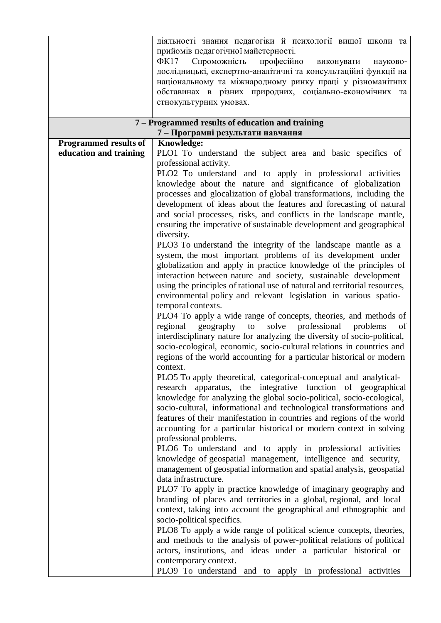|                              | діяльності знання педагогіки й психології вищої школи та<br>прийомів педагогічної майстерності.<br>професійно<br>$\Phi$ K17<br>Спроможність<br>виконувати<br>науково-<br>дослідницькі, експертно-аналітичні та консультаційні функції на<br>національному та міжнародному ринку праці у різноманітних<br>обставинах в різних природних, соціально-економічних та<br>етнокультурних умовах. |
|------------------------------|--------------------------------------------------------------------------------------------------------------------------------------------------------------------------------------------------------------------------------------------------------------------------------------------------------------------------------------------------------------------------------------------|
|                              | 7 – Programmed results of education and training                                                                                                                                                                                                                                                                                                                                           |
| <b>Programmed results of</b> | 7 – Програмні результати навчання<br><b>Knowledge:</b>                                                                                                                                                                                                                                                                                                                                     |
| education and training       | PLO1 To understand the subject area and basic specifics of                                                                                                                                                                                                                                                                                                                                 |
|                              | professional activity.                                                                                                                                                                                                                                                                                                                                                                     |
|                              | PLO2 To understand and to apply in professional activities                                                                                                                                                                                                                                                                                                                                 |
|                              | knowledge about the nature and significance of globalization                                                                                                                                                                                                                                                                                                                               |
|                              | processes and glocalization of global transformations, including the                                                                                                                                                                                                                                                                                                                       |
|                              | development of ideas about the features and forecasting of natural                                                                                                                                                                                                                                                                                                                         |
|                              | and social processes, risks, and conflicts in the landscape mantle,                                                                                                                                                                                                                                                                                                                        |
|                              | ensuring the imperative of sustainable development and geographical                                                                                                                                                                                                                                                                                                                        |
|                              | diversity.<br>PLO3 To understand the integrity of the landscape mantle as a                                                                                                                                                                                                                                                                                                                |
|                              | system, the most important problems of its development under                                                                                                                                                                                                                                                                                                                               |
|                              | globalization and apply in practice knowledge of the principles of                                                                                                                                                                                                                                                                                                                         |
|                              | interaction between nature and society, sustainable development                                                                                                                                                                                                                                                                                                                            |
|                              | using the principles of rational use of natural and territorial resources,                                                                                                                                                                                                                                                                                                                 |
|                              | environmental policy and relevant legislation in various spatio-                                                                                                                                                                                                                                                                                                                           |
|                              | temporal contexts.                                                                                                                                                                                                                                                                                                                                                                         |
|                              | PLO4 To apply a wide range of concepts, theories, and methods of<br>professional<br>regional<br>geography<br>to<br>solve<br>problems<br>of                                                                                                                                                                                                                                                 |
|                              | interdisciplinary nature for analyzing the diversity of socio-political,                                                                                                                                                                                                                                                                                                                   |
|                              | socio-ecological, economic, socio-cultural relations in countries and                                                                                                                                                                                                                                                                                                                      |
|                              | regions of the world accounting for a particular historical or modern                                                                                                                                                                                                                                                                                                                      |
|                              | context.                                                                                                                                                                                                                                                                                                                                                                                   |
|                              | PLO5 To apply theoretical, categorical-conceptual and analytical-                                                                                                                                                                                                                                                                                                                          |
|                              | research apparatus, the integrative function of geographical                                                                                                                                                                                                                                                                                                                               |
|                              | knowledge for analyzing the global socio-political, socio-ecological,                                                                                                                                                                                                                                                                                                                      |
|                              | socio-cultural, informational and technological transformations and                                                                                                                                                                                                                                                                                                                        |
|                              | features of their manifestation in countries and regions of the world                                                                                                                                                                                                                                                                                                                      |
|                              | accounting for a particular historical or modern context in solving<br>professional problems.                                                                                                                                                                                                                                                                                              |
|                              | PLO6 To understand and to apply in professional activities                                                                                                                                                                                                                                                                                                                                 |
|                              | knowledge of geospatial management, intelligence and security,                                                                                                                                                                                                                                                                                                                             |
|                              | management of geospatial information and spatial analysis, geospatial                                                                                                                                                                                                                                                                                                                      |
|                              | data infrastructure.                                                                                                                                                                                                                                                                                                                                                                       |
|                              | PLO7 To apply in practice knowledge of imaginary geography and                                                                                                                                                                                                                                                                                                                             |
|                              | branding of places and territories in a global, regional, and local                                                                                                                                                                                                                                                                                                                        |
|                              | context, taking into account the geographical and ethnographic and                                                                                                                                                                                                                                                                                                                         |
|                              | socio-political specifics.                                                                                                                                                                                                                                                                                                                                                                 |
|                              | PLO8 To apply a wide range of political science concepts, theories,<br>and methods to the analysis of power-political relations of political                                                                                                                                                                                                                                               |
|                              | actors, institutions, and ideas under a particular historical or                                                                                                                                                                                                                                                                                                                           |
|                              | contemporary context.                                                                                                                                                                                                                                                                                                                                                                      |
|                              | PLO9 To understand and to apply in professional activities                                                                                                                                                                                                                                                                                                                                 |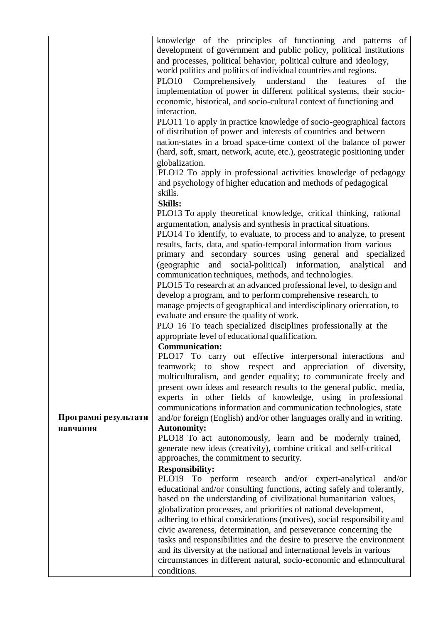|                      | knowledge of the principles of functioning and patterns of                                                        |
|----------------------|-------------------------------------------------------------------------------------------------------------------|
|                      | development of government and public policy, political institutions                                               |
|                      | and processes, political behavior, political culture and ideology,                                                |
|                      | world politics and politics of individual countries and regions.                                                  |
|                      | PLO10<br>Comprehensively<br>understand<br>features of<br>the<br>the                                               |
|                      | implementation of power in different political systems, their socio-                                              |
|                      | economic, historical, and socio-cultural context of functioning and                                               |
|                      | interaction.                                                                                                      |
|                      | PLO11 To apply in practice knowledge of socio-geographical factors                                                |
|                      | of distribution of power and interests of countries and between                                                   |
|                      | nation-states in a broad space-time context of the balance of power                                               |
|                      | (hard, soft, smart, network, acute, etc.), geostrategic positioning under                                         |
|                      | globalization.                                                                                                    |
|                      | PLO12 To apply in professional activities knowledge of pedagogy                                                   |
|                      | and psychology of higher education and methods of pedagogical                                                     |
|                      | skills.                                                                                                           |
|                      | <b>Skills:</b>                                                                                                    |
|                      | PLO13 To apply theoretical knowledge, critical thinking, rational                                                 |
|                      | argumentation, analysis and synthesis in practical situations.                                                    |
|                      | PLO14 To identify, to evaluate, to process and to analyze, to present                                             |
|                      | results, facts, data, and spatio-temporal information from various                                                |
|                      | primary and secondary sources using general and specialized                                                       |
|                      | (geographic and social-political) information, analytical<br>and                                                  |
|                      | communication techniques, methods, and technologies.                                                              |
|                      | PLO15 To research at an advanced professional level, to design and                                                |
|                      | develop a program, and to perform comprehensive research, to                                                      |
|                      | manage projects of geographical and interdisciplinary orientation, to<br>evaluate and ensure the quality of work. |
|                      | PLO 16 To teach specialized disciplines professionally at the                                                     |
|                      | appropriate level of educational qualification.                                                                   |
|                      | <b>Communication:</b>                                                                                             |
|                      | PLO17 To carry out effective interpersonal interactions<br>and                                                    |
|                      | teamwork; to show respect and appreciation of diversity,                                                          |
|                      | multiculturalism, and gender equality; to communicate freely and                                                  |
|                      | present own ideas and research results to the general public, media,                                              |
|                      | experts in other fields of knowledge, using in professional                                                       |
|                      | communications information and communication technologies, state                                                  |
| Програмні результати | and/or foreign (English) and/or other languages orally and in writing.                                            |
| навчання             | <b>Autonomity:</b>                                                                                                |
|                      | PLO18 To act autonomously, learn and be modernly trained,                                                         |
|                      | generate new ideas (creativity), combine critical and self-critical                                               |
|                      | approaches, the commitment to security.                                                                           |
|                      | <b>Responsibility:</b>                                                                                            |
|                      | PLO19 To perform research and/or expert-analytical and/or                                                         |
|                      | educational and/or consulting functions, acting safely and tolerantly,                                            |
|                      | based on the understanding of civilizational humanitarian values,                                                 |
|                      | globalization processes, and priorities of national development,                                                  |
|                      | adhering to ethical considerations (motives), social responsibility and                                           |
|                      | civic awareness, determination, and perseverance concerning the                                                   |
|                      | tasks and responsibilities and the desire to preserve the environment                                             |
|                      | and its diversity at the national and international levels in various                                             |
|                      | circumstances in different natural, socio-economic and ethnocultural                                              |
|                      | conditions.                                                                                                       |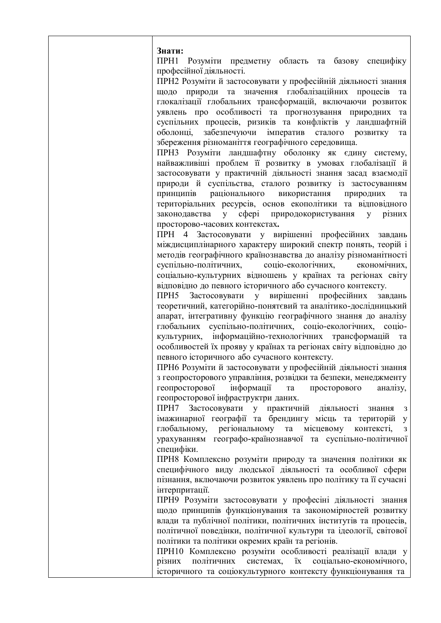**Знати:**

ПРН1 Розуміти предметну область та базову специфіку професійної діяльності.

ПРН2 Розуміти й застосовувати у професійній діяльності знання щодо природи та значення глобалізаційних процесів та глокалізації глобальних трансформацій, включаючи розвиток уявлень про особливості та прогнозування природних та суспільних процесів, ризиків та конфліктів у ландшафтній оболонці, забезпечуючи імператив сталого розвитку та збереження різноманіття географічного середовища.

ПРН3 Розуміти ландшафтну оболонку як єдину систему, найважливіші проблем її розвитку в умовах глобалізації й застосовувати у практичній діяльності знання засад взаємодії природи й суспільства, сталого розвитку із застосуванням принципів раціонального використання природних та територіальних ресурсів, основ екополітики та відповідного законодавства у сфері природокористування у різних просторово-часових контекстах**.**

ПРН 4 Застосовувати у вирішенні професійних завдань міждисциплінарного характеру широкий спектр понять, теорій і методів географічного країнознавства до аналізу різноманітності суспільно-політичних, соціо-екологічних, економічних, соціально-культурних відношень у країнах та регіонах світу відповідно до певного історичного або сучасного контексту.

ПРН5 Застосовувати у вирішенні професійних завдань теоретичний, категорійно-понятєвий та аналітико-дослідницький апарат, інтегративну функцію географічного знання до аналізу глобальних суспільно-політичних, соціо-екологічних, соціокультурних, інформаційно-технологічних трансформацій та особливостей їх прояву у країнах та регіонах світу відповідно до певного історичного або сучасного контексту.

ПРН6 Розуміти й застосовувати у професійній діяльності знання з геопросторового управління, розвідки та безпеки, менеджменту геопросторової інформації та просторового аналізу, геопросторової інфраструктри даних.

ПРН7 Застосовувати у практичній діяльності знання з імажинарної географії та брендингу місць та територій у глобальному, регіональному та місцевому контексті, з урахуванням географо-країнознавчої та суспільно-політичної специфіки.

ПРН8 Комплексно розуміти природу та значення політики як специфічного виду людської діяльності та особливої сфери пізнання, включаючи розвиток уявлень про політику та її сучасні інтерпритації.

ПРН9 Розуміти застосовувати у професіні діяльності знання щодо принципів функціонування та закономірностей розвитку влади та публічної політики, політичних інститутів та процесів, політичної поведінки, політичної культури та ідеології, світової політики та політики окремих країн та регіонів.

ПРН10 Комплексно розуміти особливості реалізації влади у різних політичних системах, їх соціально-економічного, історичного та соціокультурного контексту функціонування та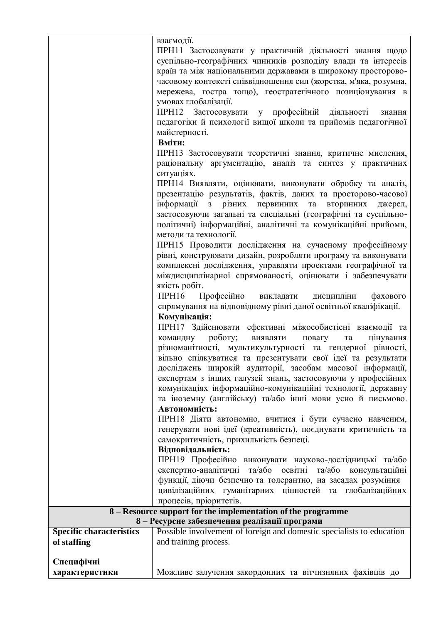|                                 | взаємодії.<br>ПРН11 Застосовувати у практичній діяльності знання щодо<br>суспільно-географічних чинників розподілу влади та інтересів<br>країн та між національними державами в широкому просторово-<br>часовому контексті співвідношення сил (жорстка, м'яка, розумна,<br>мережева, гостра тощо), геостратегічного позиціонування в<br>умовах глобалізації.<br>ПРН12 Застосовувати у професійній<br>діяльності<br>знання<br>педагогіки й психології вищої школи та прийомів педагогічної<br>майстерності.<br>Вміти:<br>ПРН13 Застосовувати теоретичні знання, критичне мислення,<br>раціональну аргументацію, аналіз та синтез у практичних<br>ситуаціях.<br>ПРН14 Виявляти, оцінювати, виконувати обробку та аналіз,<br>презентацію результатів, фактів, даних та просторово-часової<br>інформації<br>з різних первинних<br>та вторинних<br>джерел,<br>застосовуючи загальні та спеціальні (географічні та суспільно-<br>політичні) інформаційні, аналітичні та комунікаційні прийоми,<br>методи та технології.<br>ПРН15 Проводити дослідження на сучасному професійному<br>рівні, конструювати дизайн, розробляти програму та виконувати<br>комплексні дослідження, управляти проектами географічної та<br>міждисциплінарної спрямованості, оцінювати і забезпечувати<br>якість робіт.<br>$\Pi$ PH16<br>Професійно<br>викладати<br>дисципліни<br>фахового<br>спрямування на відповідному рівні даної освітньої кваліфікації.<br>Комунікація:<br>ПРН17 Здійснювати ефективні міжособистісні взаємодії та<br>командну роботу;<br>виявляти<br>цінування<br>повагу<br>та<br>різноманітності, мультикультурності та гендерної рівності,<br>вільно спілкуватися та презентувати свої ідеї та результати<br>досліджень широкій аудиторії, засобам масової інформації,<br>експертам з інших галузей знань, застосовуючи у професійних<br>комунікаціях інформаційно-комунікаційні технології, державну<br>та іноземну (англійську) та/або інші мови усно й письмово.<br>Автономність:<br>ПРН18 Діяти автономно, вчитися і бути сучасно навченим,<br>генерувати нові ідеї (креативність), поєднувати критичність та<br>самокритичність, прихильність безпеці.<br>Відповідальність: |
|---------------------------------|-----------------------------------------------------------------------------------------------------------------------------------------------------------------------------------------------------------------------------------------------------------------------------------------------------------------------------------------------------------------------------------------------------------------------------------------------------------------------------------------------------------------------------------------------------------------------------------------------------------------------------------------------------------------------------------------------------------------------------------------------------------------------------------------------------------------------------------------------------------------------------------------------------------------------------------------------------------------------------------------------------------------------------------------------------------------------------------------------------------------------------------------------------------------------------------------------------------------------------------------------------------------------------------------------------------------------------------------------------------------------------------------------------------------------------------------------------------------------------------------------------------------------------------------------------------------------------------------------------------------------------------------------------------------------------------------------------------------------------------------------------------------------------------------------------------------------------------------------------------------------------------------------------------------------------------------------------------------------------------------------------------------------------------------------------------------------------------------------------------------------------------------------------------------------------|
|                                 |                                                                                                                                                                                                                                                                                                                                                                                                                                                                                                                                                                                                                                                                                                                                                                                                                                                                                                                                                                                                                                                                                                                                                                                                                                                                                                                                                                                                                                                                                                                                                                                                                                                                                                                                                                                                                                                                                                                                                                                                                                                                                                                                                                             |
|                                 | ПРН19 Професійно виконувати науково-дослідницькі та/або<br>та/або освітні<br>та/або<br>експертно-аналітичні<br>консультаційні<br>функції, діючи безпечно та толерантно, на засадах розуміння<br>цивілізаційних гуманітарних цінностей та глобалізаційних<br>процесів, пріоритетів.                                                                                                                                                                                                                                                                                                                                                                                                                                                                                                                                                                                                                                                                                                                                                                                                                                                                                                                                                                                                                                                                                                                                                                                                                                                                                                                                                                                                                                                                                                                                                                                                                                                                                                                                                                                                                                                                                          |
|                                 | 8 – Resource support for the implementation of the programme                                                                                                                                                                                                                                                                                                                                                                                                                                                                                                                                                                                                                                                                                                                                                                                                                                                                                                                                                                                                                                                                                                                                                                                                                                                                                                                                                                                                                                                                                                                                                                                                                                                                                                                                                                                                                                                                                                                                                                                                                                                                                                                |
|                                 | 8 - Ресурсне забезпечення реалізації програми                                                                                                                                                                                                                                                                                                                                                                                                                                                                                                                                                                                                                                                                                                                                                                                                                                                                                                                                                                                                                                                                                                                                                                                                                                                                                                                                                                                                                                                                                                                                                                                                                                                                                                                                                                                                                                                                                                                                                                                                                                                                                                                               |
| <b>Specific characteristics</b> | Possible involvement of foreign and domestic specialists to education                                                                                                                                                                                                                                                                                                                                                                                                                                                                                                                                                                                                                                                                                                                                                                                                                                                                                                                                                                                                                                                                                                                                                                                                                                                                                                                                                                                                                                                                                                                                                                                                                                                                                                                                                                                                                                                                                                                                                                                                                                                                                                       |
| of staffing                     | and training process.                                                                                                                                                                                                                                                                                                                                                                                                                                                                                                                                                                                                                                                                                                                                                                                                                                                                                                                                                                                                                                                                                                                                                                                                                                                                                                                                                                                                                                                                                                                                                                                                                                                                                                                                                                                                                                                                                                                                                                                                                                                                                                                                                       |
| Специфічні<br>характеристики    | Можливе залучення закордонних та вітчизняних фахівців до                                                                                                                                                                                                                                                                                                                                                                                                                                                                                                                                                                                                                                                                                                                                                                                                                                                                                                                                                                                                                                                                                                                                                                                                                                                                                                                                                                                                                                                                                                                                                                                                                                                                                                                                                                                                                                                                                                                                                                                                                                                                                                                    |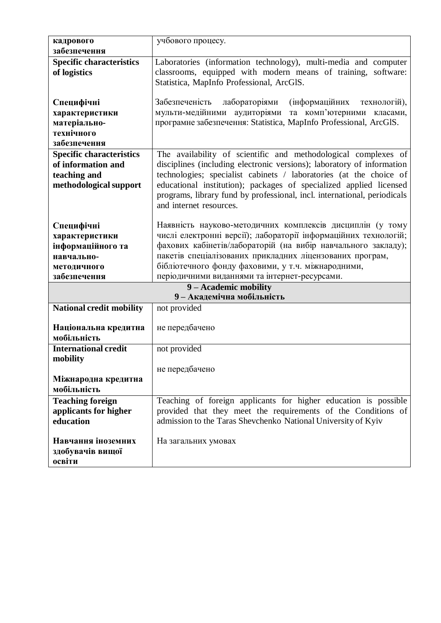| кадрового                       | учбового процесу.                                                        |
|---------------------------------|--------------------------------------------------------------------------|
| забезпечення                    |                                                                          |
| <b>Specific characteristics</b> | Laboratories (information technology), multi-media and computer          |
|                                 |                                                                          |
| of logistics                    | classrooms, equipped with modern means of training, software:            |
|                                 | Statistica, MapInfo Professional, ArcGlS.                                |
|                                 |                                                                          |
| Специфічні                      | Забезпеченість<br>лабораторіями<br><i>(інформаційних</i><br>технологій), |
| характеристики                  | мульти-медійними аудиторіями та комп'ютерними класами,                   |
| матеріально-                    | програмне забезпечення: Statistica, MapInfo Professional, ArcGlS.        |
| технічного                      |                                                                          |
| забезпечення                    |                                                                          |
| <b>Specific characteristics</b> | The availability of scientific and methodological complexes of           |
| of information and              | disciplines (including electronic versions); laboratory of information   |
| teaching and                    | technologies; specialist cabinets / laboratories (at the choice of       |
| methodological support          | educational institution); packages of specialized applied licensed       |
|                                 | programs, library fund by professional, incl. international, periodicals |
|                                 | and internet resources.                                                  |
|                                 |                                                                          |
| Специфічні                      | Наявність науково-методичних комплексів дисциплін (у тому                |
| характеристики                  | числі електронні версії); лабораторії інформаційних технологій;          |
|                                 | фахових кабінетів/лабораторій (на вибір навчального закладу);            |
| інформаційного та               |                                                                          |
| навчально-                      | пакетів спеціалізованих прикладних ліцензованих програм,                 |
| методичного                     | бібліотечного фонду фаховими, у т.ч. міжнародними,                       |
| забезпечення                    | періодичними виданнями та інтернет-ресурсами.                            |
|                                 | 9 - Academic mobility                                                    |
|                                 | 9-Академічна мобільність                                                 |
| <b>National credit mobility</b> | not provided                                                             |
|                                 |                                                                          |
| Національна кредитна            | не передбачено                                                           |
| мобільність                     |                                                                          |
| <b>International credit</b>     | not provided                                                             |
| mobility                        |                                                                          |
|                                 | не передбачено                                                           |
| Міжнародна кредитна             |                                                                          |
| мобільність                     |                                                                          |
| <b>Teaching foreign</b>         | Teaching of foreign applicants for higher education is possible          |
| applicants for higher           | provided that they meet the requirements of the Conditions of            |
| education                       | admission to the Taras Shevchenko National University of Kyiv            |
|                                 |                                                                          |
| Навчання іноземних              | На загальних умовах                                                      |
| здобувачів вищої                |                                                                          |
| освіти                          |                                                                          |
|                                 |                                                                          |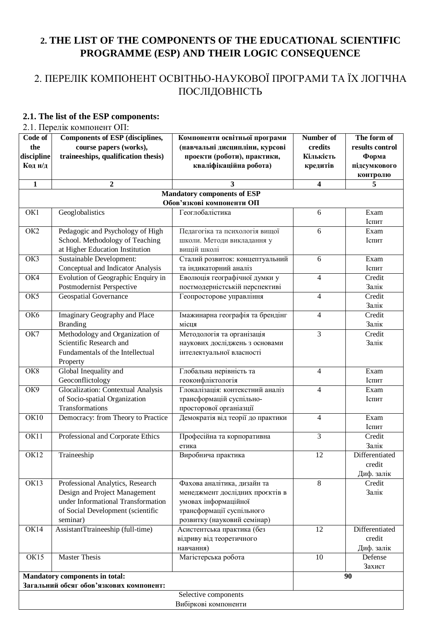### **2. THE LIST OF THE COMPONENTS OF THE EDUCATIONAL SCIENTIFIC PROGRAMME (ESP) AND THEIR LOGIC CONSEQUENCE**

### 2. ПЕРЕЛІК КОМПОНЕНТ ОСВІТНЬО-НАУКОВОЇ ПРОГРАМИ ТА ЇХ ЛОГІЧНА ПОСЛІДОВНІСТЬ

#### **2.1. The list of the ESP components:**

2.1. Перелік компонент ОП:

| Code of         | <b>Components of ESP (disciplines,</b>  | Компоненти освітньої програми           | Number of       | The form of     |
|-----------------|-----------------------------------------|-----------------------------------------|-----------------|-----------------|
| the             | course papers (works),                  | (навчальні дисципліни, курсові          | credits         | results control |
| discipline      | traineeships, qualification thesis)     | проекти (роботи), практики,             | Кількість       | Форма           |
| Код н/д         |                                         | кваліфікаційна робота)                  | кредитів        | підсумкового    |
|                 |                                         |                                         |                 |                 |
|                 |                                         |                                         |                 | контролю        |
| $\mathbf{1}$    | $\boldsymbol{2}$                        | 3<br><b>Mandatory components of ESP</b> | 4               | 5               |
|                 | Обов'язкові компоненти ОП               |                                         |                 |                 |
| OK1             | Geoglobalistics                         | Геоглобалістика                         | 6               | Exam            |
|                 |                                         |                                         |                 | Іспит           |
| OK <sub>2</sub> | Pedagogic and Psychology of High        | Педагогіка та психологія вищої          | 6               | Exam            |
|                 | School. Methodology of Teaching         | школи. Методи викладання у              |                 | Іспит           |
|                 | at Higher Education Institution         | вищій школі                             |                 |                 |
| OK3             | Sustainable Development:                | Сталий розвиток: концептуальний         | 6               | Exam            |
|                 | Conceptual and Indicator Analysis       | та індикаторний аналіз                  |                 | Іспит           |
| OK4             | Evolution of Geographic Enquiry in      | Еволюція географічної думки у           | $\overline{4}$  | Credit          |
|                 | Postmodernist Perspective               | постмодерністській перспективі          |                 | Залік           |
| OK5             | <b>Geospatial Governance</b>            | Геопросторове управління                | $\overline{4}$  | Credit          |
|                 |                                         |                                         |                 | Залік           |
| OK <sub>6</sub> | Imaginary Geography and Place           | Імажинарна географія та брендінг        | $\overline{4}$  | Credit          |
|                 | <b>Branding</b>                         | місця                                   |                 | Залік           |
| OK7             | Methodology and Organization of         |                                         | $\overline{3}$  | Credit          |
|                 | Scientific Research and                 | Методологія та організація              |                 |                 |
|                 |                                         | наукових досліджень з основами          |                 | Залік           |
|                 | Fundamentals of the Intellectual        | інтелектуальної власності               |                 |                 |
|                 | Property                                |                                         |                 |                 |
| OK8             | Global Inequality and                   | Глобальна нерівність та                 | $\overline{4}$  | Exam            |
|                 | Geoconflictology                        | геоконфліктологія                       |                 | Іспит           |
| OK9             | Glocalization: Contextual Analysis      | Глокалізація: контекстний аналіз        | $\overline{4}$  | Exam            |
|                 | of Socio-spatial Organization           | трансформацій суспільно-                |                 | Іспит           |
|                 | Transformations                         | просторової органіазції                 |                 |                 |
| OK10            | Democracy: from Theory to Practice      | Демократія від теорії до практики       | 4               | Exam<br>Іспит   |
| OK11            | Professional and Corporate Ethics       | Професійна та корпоративна              | 3               | Credit          |
|                 |                                         | етика                                   |                 | Залік           |
| OK12            | Traineeship                             | Виробнича практика                      | 12              | Differentiated  |
|                 |                                         |                                         |                 | credit          |
|                 |                                         |                                         |                 | Диф. залік      |
| OK13            | Professional Analytics, Research        | Фахова аналітика, дизайн та             | $8\phantom{1}$  | Credit          |
|                 | Design and Project Management           | менеджмент дослідних проєктів в         |                 | Залік           |
|                 | under Informational Transformation      | умовах інформаційної                    |                 |                 |
|                 | of Social Development (scientific       | трансформації суспільного               |                 |                 |
|                 | seminar)                                | розвитку (науковий семінар)             |                 |                 |
| OK14            | AssistantTtraineeship (full-time)       | Асистентська практика (без              | $\overline{12}$ | Differentiated  |
|                 |                                         | відриву від теоретичного                |                 | credit          |
|                 |                                         | навчання)                               |                 | Диф. залік      |
| OK15            | <b>Master Thesis</b>                    | Магістерська робота                     | 10              | Defense         |
|                 |                                         |                                         |                 | Захист          |
|                 | <b>Mandatory components in total:</b>   |                                         |                 | 90              |
|                 | Загальний обсяг обов'язкових компонент: |                                         |                 |                 |
|                 |                                         | Selective components                    |                 |                 |
|                 |                                         | Вибіркові компоненти                    |                 |                 |
|                 |                                         |                                         |                 |                 |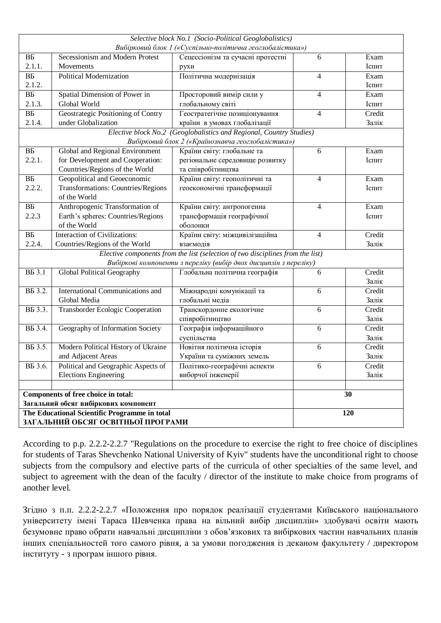| Selective block No.1 (Socio-Political Geoglobalistics)              |                                               |                                                                                |                |        |  |  |  |  |  |  |  |  |
|---------------------------------------------------------------------|-----------------------------------------------|--------------------------------------------------------------------------------|----------------|--------|--|--|--|--|--|--|--|--|
|                                                                     |                                               | Вибірковий блок 1 («Суспільно-політична геоглобалістика»)                      |                |        |  |  |  |  |  |  |  |  |
| BБ                                                                  | Secessionism and Modern Protest               | Сецессіонізм та сучасні протестні                                              | 6              | Exam   |  |  |  |  |  |  |  |  |
| 2.1.1.                                                              | Movements                                     | рухи                                                                           |                | Іспит  |  |  |  |  |  |  |  |  |
| $\overline{BE}$                                                     | <b>Political Modernization</b>                | Політична модернізація                                                         | 4              | Exam   |  |  |  |  |  |  |  |  |
| 2.1.2.                                                              |                                               |                                                                                |                | Іспит  |  |  |  |  |  |  |  |  |
| $\overline{BB}$                                                     | Spatial Dimension of Power in                 | Просторовий вимір сили у                                                       | 4              | Exam   |  |  |  |  |  |  |  |  |
| 2.1.3.                                                              | Global World                                  | глобальному світі                                                              |                | Іспит  |  |  |  |  |  |  |  |  |
| BБ                                                                  | Geostrategic Positioning of Contry            | Геостратегічне позиціонування                                                  | $\overline{4}$ | Credit |  |  |  |  |  |  |  |  |
| 2.1.4.                                                              | under Globalization                           | країни в умовах глобалізації                                                   |                | Залік  |  |  |  |  |  |  |  |  |
| Elective block No.2 (Geoglobalistics and Regional, Country Studies) |                                               |                                                                                |                |        |  |  |  |  |  |  |  |  |
|                                                                     |                                               | Вибірковий блок 2 («Країнознавча геоглобалістика»)                             |                |        |  |  |  |  |  |  |  |  |
| $\overline{BE}$                                                     | Global and Regional Environment               | Країни світу: глобальне та                                                     | 6              | Exam   |  |  |  |  |  |  |  |  |
| 2.2.1.                                                              | for Development and Cooperation:              | регіональне середовище розвитку                                                |                | Іспит  |  |  |  |  |  |  |  |  |
|                                                                     | Countries/Regions of the World                | та співробітництва                                                             |                |        |  |  |  |  |  |  |  |  |
| BБ                                                                  | Geopolitical and Geoeconomic                  | Країни світу: геополітичні та                                                  | 4              | Exam   |  |  |  |  |  |  |  |  |
| 2.2.2.                                                              | Transformations: Countries/Regions            | геоекономічні трансформації                                                    |                | Іспит  |  |  |  |  |  |  |  |  |
|                                                                     | of the World                                  |                                                                                |                |        |  |  |  |  |  |  |  |  |
| BБ                                                                  | Anthropogenic Transformation of               | Країни світу: антропогенна                                                     | 4              | Exam   |  |  |  |  |  |  |  |  |
| 2.2.3                                                               | Earth's spheres: Countries/Regions            | трансформація географічної                                                     |                | Іспит  |  |  |  |  |  |  |  |  |
|                                                                     | of the World                                  | оболонки                                                                       |                |        |  |  |  |  |  |  |  |  |
| $\overline{BE}$                                                     | <b>Interaction of Civilizations:</b>          | Країни світу: міжцивілізаційна                                                 | 4              | Credit |  |  |  |  |  |  |  |  |
| 2.2.4.                                                              | Countries/Regions of the World                | взаємодія                                                                      |                | Залік  |  |  |  |  |  |  |  |  |
|                                                                     |                                               | Elective components from the list (selection of two disciplines from the list) |                |        |  |  |  |  |  |  |  |  |
|                                                                     |                                               | Вибіркові компоненти з переліку (вибір двох дисциплін з переліку)              |                |        |  |  |  |  |  |  |  |  |
| <b>BB</b> 3.1                                                       | Global Political Geography                    | Глобальна політична географія                                                  | 6              | Credit |  |  |  |  |  |  |  |  |
|                                                                     |                                               |                                                                                |                | Залік  |  |  |  |  |  |  |  |  |
| B <sub>5</sub> 3.2.                                                 | International Communications and              | Міжнародні комунікації та                                                      | 6              | Credit |  |  |  |  |  |  |  |  |
|                                                                     | Global Media                                  | глобальні медіа                                                                |                | Залік  |  |  |  |  |  |  |  |  |
| B <sub>5</sub> 3.3.                                                 | Transborder Ecologic Cooperation              | Транскордонне екологічне                                                       | 6              | Credit |  |  |  |  |  |  |  |  |
|                                                                     |                                               | співробітництво                                                                |                | Залік  |  |  |  |  |  |  |  |  |
| B <sub>5</sub> 3.4.                                                 | Geography of Information Society              | Географія інформаційного                                                       | 6              | Credit |  |  |  |  |  |  |  |  |
|                                                                     |                                               | суспільства                                                                    |                | Залік  |  |  |  |  |  |  |  |  |
| B <sub>B</sub> 3.5.                                                 | Modern Political History of Ukraine           | Новітня політична історія                                                      | 6              | Credit |  |  |  |  |  |  |  |  |
|                                                                     | and Adjacent Areas                            | України та суміжних земель                                                     |                | Залік  |  |  |  |  |  |  |  |  |
| B <sub>B</sub> 3.6.                                                 | Political and Geographic Aspects of           | Політико-географічні аспекти                                                   | 6              | Credit |  |  |  |  |  |  |  |  |
|                                                                     | <b>Elections Engineering</b>                  | виборчої інженерії                                                             |                | Залік  |  |  |  |  |  |  |  |  |
|                                                                     |                                               |                                                                                |                |        |  |  |  |  |  |  |  |  |
|                                                                     | Components of free choice in total:           |                                                                                |                | 30     |  |  |  |  |  |  |  |  |
|                                                                     | Загальний обсяг вибіркових компонент          |                                                                                |                |        |  |  |  |  |  |  |  |  |
|                                                                     | The Educational Scientific Programme in total |                                                                                |                | 120    |  |  |  |  |  |  |  |  |
|                                                                     | ЗАГАЛЬНИЙ ОБСЯГ ОСВІТНЬОЇ ПРОГРАМИ            |                                                                                |                |        |  |  |  |  |  |  |  |  |

According to p.p. 2.2.2-2.2.7 "Regulations on the procedure to exercise the right to free choice of disciplines for students of Taras Shevchenko National University of Kyiv" students have the unconditional right to choose subjects from the compulsory and elective parts of the curricula of other specialties of the same level, and subject to agreement with the dean of the faculty / director of the institute to make choice from programs of another level.

Згідно з п.п. 2.2.2-2.2.7 «Положення про порядок реалізації студентами Київського національного університету імені Тараса Шевченка права на вільний вибір дисциплін» здобувачі освіти мають безумовне право обрати навчальні дисципліни з обов'язкових та вибіркових частин навчальних планів інших спеціальностей того самого рівня, а за умови погодження із деканом факультету / директором інституту - з програм іншого рівня.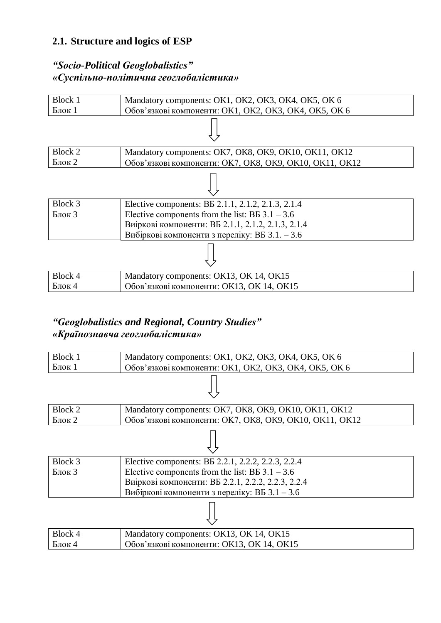### **2.1. Structure and logics of ESP**

#### *"Socio-Political Geoglobalistics" «Суспільно-політична геоглобалістика»*



### *"Geoglobalistics and Regional, Country Studies" «Країнознавча геоглобалістика»*

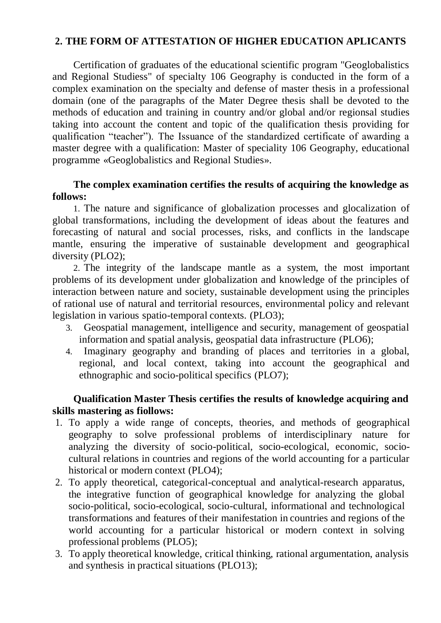#### **2. THE FORM OF ATTESTATION OF HIGHER EDUCATION APLICANTS**

Certification of graduates of the educational scientific program "Geoglobalistics and Regional Studiess" of specialty 106 Geography is conducted in the form of a complex examination on the specialty and defense of master thesis in a professional domain (one of the paragraphs of the Mater Degree thesis shall be devoted to the methods of education and training in country and/or global and/or regionsal studies taking into account the content and topic of the qualification thesis providing for qualification "teacher"). The Issuance of the standardized certificate of awarding a master degree with a qualification: Master of speciality 106 Geography, educational programme «Geoglobalistics and Regional Studies».

#### **The complex examination certifies the results of acquiring the knowledge as follows:**

1. The nature and significance of globalization processes and glocalization of global transformations, including the development of ideas about the features and forecasting of natural and social processes, risks, and conflicts in the landscape mantle, ensuring the imperative of sustainable development and geographical diversity (PLO2);

2. The integrity of the landscape mantle as a system, the most important problems of its development under globalization and knowledge of the principles of interaction between nature and society, sustainable development using the principles of rational use of natural and territorial resources, environmental policy and relevant legislation in various spatio-temporal contexts. (PLO3);

- 3. Geospatial management, intelligence and security, management of geospatial information and spatial analysis, geospatial data infrastructure (PLO6);
- 4. Imaginary geography and branding of places and territories in a global, regional, and local context, taking into account the geographical and ethnographic and socio-political specifics (PLO7);

#### **Qualification Master Thesis certifies the results of knowledge acquiring and skills mastering as fiollows:**

- 1. To apply a wide range of concepts, theories, and methods of geographical geography to solve professional problems of interdisciplinary nature for analyzing the diversity of socio-political, socio-ecological, economic, sociocultural relations in countries and regions of the world accounting for a particular historical or modern context (PLO4);
- 2. To apply theoretical, categorical-conceptual and analytical-research apparatus, the integrative function of geographical knowledge for analyzing the global socio-political, socio-ecological, socio-cultural, informational and technological transformations and features of their manifestation in countries and regions of the world accounting for a particular historical or modern context in solving professional problems (PLO5);
- 3. To apply theoretical knowledge, critical thinking, rational argumentation, analysis and synthesis in practical situations (PLO13);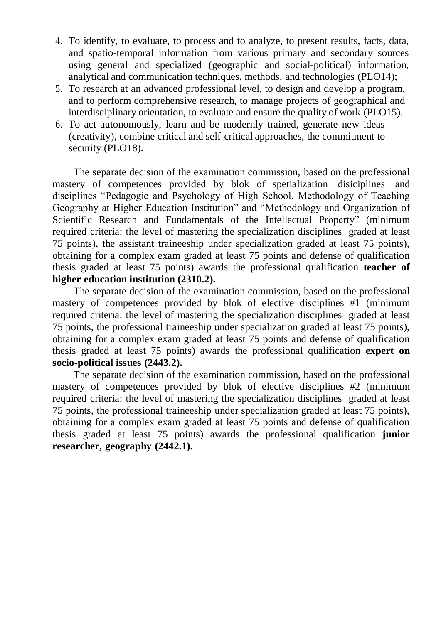- 4. To identify, to evaluate, to process and to analyze, to present results, facts, data, and spatio-temporal information from various primary and secondary sources using general and specialized (geographic and social-political) information, analytical and communication techniques, methods, and technologies (PLO14);
- 5. To research at an advanced professional level, to design and develop a program, and to perform comprehensive research, to manage projects of geographical and interdisciplinary orientation, to evaluate and ensure the quality of work (PLO15).
- 6. To act autonomously, learn and be modernly trained, generate new ideas (creativity), combine critical and self-critical approaches, the commitment to security (PLO18).

The separate decision of the examination commission, based on the professional mastery of competences provided by blok of spetialization disiciplines and disciplines "Pedagogic and Psychology of High School. Methodology of Teaching Geography at Higher Education Institution" and "Methodology and Organization of Scientific Research and Fundamentals of the Intellectual Property" (minimum required criteria: the level of mastering the specialization disciplines graded at least 75 points), the assistant traineeship under specialization graded at least 75 points), obtaining for a complex exam graded at least 75 points and defense of qualification thesis graded at least 75 points) awards the professional qualification **teacher of higher education institution (2310.2).**

The separate decision of the examination commission, based on the professional mastery of competences provided by blok of elective disciplines #1 (minimum required criteria: the level of mastering the specialization disciplines graded at least 75 points, the professional traineeship under specialization graded at least 75 points), obtaining for a complex exam graded at least 75 points and defense of qualification thesis graded at least 75 points) awards the professional qualification **expert on socio-political issues (2443.2).**

The separate decision of the examination commission, based on the professional mastery of competences provided by blok of elective disciplines #2 (minimum required criteria: the level of mastering the specialization disciplines graded at least 75 points, the professional traineeship under specialization graded at least 75 points), obtaining for a complex exam graded at least 75 points and defense of qualification thesis graded at least 75 points) awards the professional qualification **junior researcher, geography (2442.1).**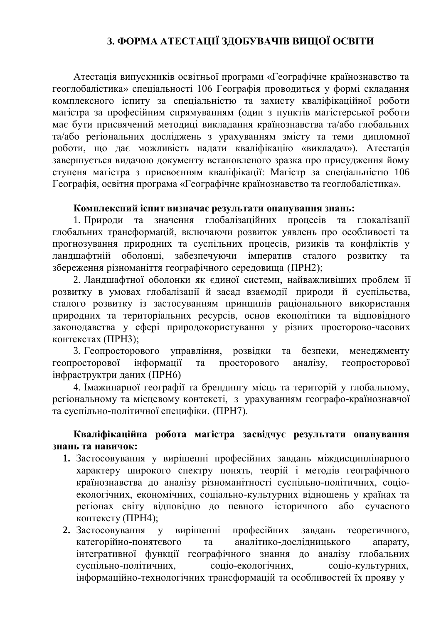### **3. ФОРМА АТЕСТАЦІЇ ЗДОБУВАЧІВ ВИЩОЇ ОСВІТИ**

Атестація випускників освітньої програми «Географічне країнознавство та геоглобалістика» спеціальності 106 Географія проводиться у формі складання комплексного іспиту за спеціальністю та захисту кваліфікаційної роботи магістра за професійним спрямуванням (один з пунктів магістерської роботи має бути присвячений методиці викладання країнознавства та/або глобальних та/або регіональних досліджень з урахуванням змісту та теми дипломної роботи, що дає можливість надати кваліфікацію «викладач»). Атестація завершується видачою документу встановленого зразка про присудження йому ступеня магістра з присвоєнням кваліфікації: Магістр за спеціальністю 106 Географія, освітня програма «Географічне країнознавство та геоглобалістика».

#### **Комплексний іспит визначає результати опанування знань:**

1. Природи та значення глобалізаційних процесів та глокалізації глобальних трансформацій, включаючи розвиток уявлень про особливості та прогнозування природних та суспільних процесів, ризиків та конфліктів у ландшафтній оболонці, забезпечуючи імператив сталого розвитку та збереження різноманіття географічного середовища (ПРН2);

2. Ландшафтної оболонки як єдиної системи, найважливіших проблем її розвитку в умовах глобалізації й засад взаємодії природи й суспільства, сталого розвитку із застосуванням принципів раціонального використання природних та територіальних ресурсів, основ екополітики та відповідного законодавства у сфері природокористування у різних просторово-часових контекстах (ПРН3);

3. Геопросторового управління, розвідки та безпеки, менеджменту геопросторової інформації та просторового аналізу, геопросторової інфраструктри даних (ПРН6)

4. Імажинарної географії та брендингу місць та територій у глобальному, регіональному та місцевому контексті, з урахуванням географо-країнознавчої та суспільно-політичної специфіки. (ПРН7).

#### **Кваліфікаційна робота магістра засвідчує результати опанування знань та навичок:**

- **1.** Застосовування у вирішенні професійних завдань міждисциплінарного характеру широкого спектру понять, теорій і методів географічного країнознавства до аналізу різноманітності суспільно-політичних, соціоекологічних, економічних, соціально-культурних відношень у країнах та регіонах світу відповідно до певного історичного або сучасного контексту (ПРН4);
- **2.** Застосовування у вирішенні професійних завдань теоретичного, категорійно-понятєвого та аналітико-дослідницького апарату, інтегративної функції географічного знання до аналізу глобальних суспільно-політичних, соціо-екологічних, соціо-культурних, інформаційно-технологічних трансформацій та особливостей їх прояву у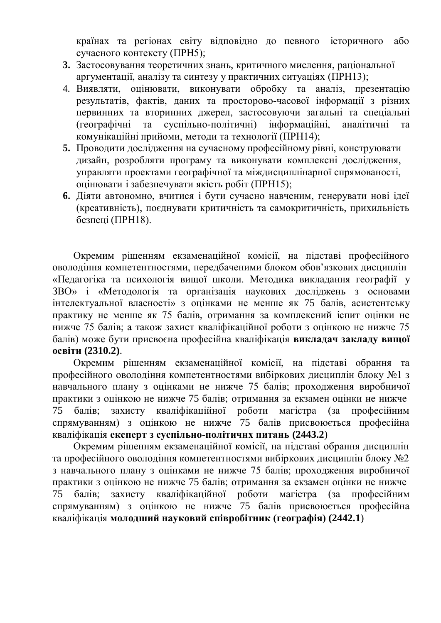країнах та регіонах світу відповідно до певного історичного або сучасного контексту (ПРН5);

- **3.** Застосовування теоретичних знань, критичного мислення, раціональної аргументації, аналізу та синтезу у практичних ситуаціях (ПРН13);
- 4. Виявляти, оцінювати, виконувати обробку та аналіз, презентацію результатів, фактів, даних та просторово-часової інформації з різних первинних та вторинних джерел, застосовуючи загальні та спеціальні (географічні та суспільно-політичні) інформаційні, аналітичні та комунікаційні прийоми, методи та технології (ПРН14);
- **5.** Проводити дослідження на сучасному професійному рівні, конструювати дизайн, розробляти програму та виконувати комплексні дослідження, управляти проектами географічної та міждисциплінарної спрямованості, оцінювати і забезпечувати якість робіт (ПРН15);
- **6.** Діяти автономно, вчитися і бути сучасно навченим, генерувати нові ідеї (креативність), поєднувати критичність та самокритичність, прихильність безпеці (ПРН18).

Окремим рішенням екзаменаційної комісії, на підставі професійного оволодіння компетентностями, передбаченими блоком обов'язкових дисциплін «Педагогіка та психологія вищої школи. Методика викладання географії у ЗВО» і «Методологія та організація наукових досліджень з основами інтелектуальної власності» з оцінками не менше як 75 балів, асистентську практику не менше як 75 балів, отримання за комплексний іспит оцінки не нижче 75 балів; а також захист кваліфікаційної роботи з оцінкою не нижче 75 балів) може бути присвоєна професійна кваліфікація **викладач закладу вищої освіти (2310.2)**.

Окремим рішенням екзаменаційної комісії, на підставі обрання та професійного оволодіння компетентностями вибіркових дисциплін блоку №1 з навчального плану з оцінками не нижче 75 балів; проходження виробничої практики з оцінкою не нижче 75 балів; отримання за екзамен оцінки не нижче 75 балів; захисту кваліфікаційної роботи магістра (за професійним спрямуванням) з оцінкою не нижче 75 балів присвоюється професійна кваліфікація **експерт з суспільно-політичнх питань (2443.2**)

Окремим рішенням екзаменаційної комісії, на підставі обрання дисциплін та професійного оволодіння компетентностями вибіркових дисциплін блоку №2 з навчального плану з оцінками не нижче 75 балів; проходження виробничої практики з оцінкою не нижче 75 балів; отримання за екзамен оцінки не нижче 75 балів; захисту кваліфікаційної роботи магістра (за професійним спрямуванням) з оцінкою не нижче 75 балів присвоюється професійна кваліфікація **молодший науковий співробітник (географія) (2442.1**)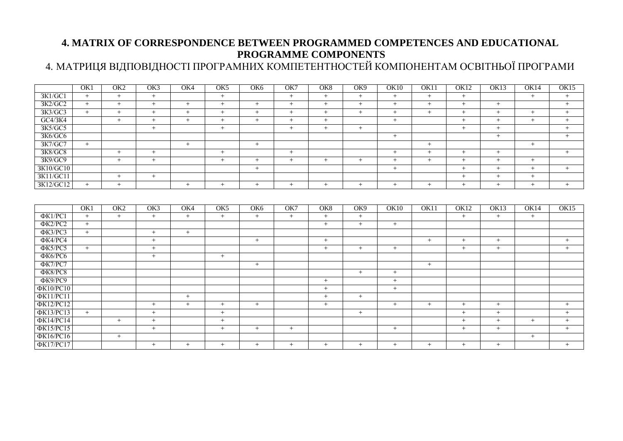### **4. MATRIX OF CORRESPONDENCE BETWEEN PROGRAMMED COMPETENCES AND EDUCATIONAL PROGRAMME COMPONENTS**

# 4. МАТРИЦЯ ВІДПОВІДНОСТІ ПРОГРАМНИХ КОМПЕТЕНТНОСТЕЙ КОМПОНЕНТАМ ОСВІТНЬОЇ ПРОГРАМИ

|                  | OK1 | OK <sub>2</sub> | OK3    | OK4 | OK <sub>5</sub> | OK <sub>6</sub> | OK7 | OK8             | OK9             | <b>OK10</b> | OK11 | <b>OK12</b> | OK13 | OK14 | OK15 |
|------------------|-----|-----------------|--------|-----|-----------------|-----------------|-----|-----------------|-----------------|-------------|------|-------------|------|------|------|
| 3K1/GC1          | $+$ | $+$             | $+$    |     | $+$             |                 | $+$ | $+$             | $+$             | $+$         | $+$  | $+$         |      | $+$  | $+$  |
| 3K2/GC2          | $+$ | $+$             | $+$    | $+$ | $+$             | $+$             | $+$ | $+$             | $+$             | $+$         | $+$  | $+$         | $+$  |      | $+$  |
| 3K3/GC3          | $+$ | $+$             | $+$    | $+$ | $+$             | $+$             | $+$ | $+$             | $+$             | $+$         | $+$  | $+$         | $+$  | $+$  | $+$  |
| GC4/3K4          |     | $^{+}$          | $+$    | $+$ | $+$             | $^{+}$          | $+$ | $+$             |                 | $+$         |      | $+$         | $+$  | $+$  | $+$  |
| 3K5/GC5          |     |                 | $+$    |     | $+$             |                 | $+$ | $+$             | $+$             |             |      | $+$         | $+$  |      | $+$  |
| 3K6/GC6          |     |                 |        |     |                 |                 |     |                 |                 | $+$         |      |             | $+$  |      | $+$  |
| 3K7/GC7          | $+$ |                 |        | $+$ |                 | $+$             |     |                 |                 |             | $+$  |             |      | $+$  |      |
| 3K8/GC8          |     | $+$             | $+$    |     | $+$             |                 | $+$ |                 |                 | $+$         | $+$  | $+$         | $+$  |      | $+$  |
| 3K9/GC9          |     | $+$             | $+$    |     | $+$             | $+$             | $+$ | $+$             | $+$             | $+$         | $+$  | $+$         | $+$  | $+$  |      |
| 3K10/GC10        |     |                 |        |     |                 | $^{+}$          |     |                 |                 | $+$         |      | $+$         | $+$  | $+$  | $+$  |
| 3K11/GC11        |     | $+$             | $+$    |     |                 |                 |     |                 |                 |             |      | $+$         | $+$  | $+$  |      |
| 3K12/GC12        | $+$ | $+$             |        | $+$ | $+$             | $+$             | $+$ | $+$             | $+$             | $+$         | $+$  | $^{+}$      | $+$  | $+$  | $+$  |
|                  |     |                 |        |     |                 |                 |     |                 |                 |             |      |             |      |      |      |
|                  | OK1 | OK <sub>2</sub> | OK3    | OK4 | OK5             | OK <sub>6</sub> | OK7 | OK <sub>8</sub> | OK <sub>9</sub> | OK10        | OK11 | <b>OK12</b> | OK13 | OK14 | OK15 |
| $\Phi$ K1/PC1    | $+$ | $+$             | $+$    | $+$ | $+$             | $+$             | $+$ | $+$             | $^{+}$          |             |      | $+$         | $+$  | $+$  |      |
| $\Phi$ K2/PC2    | $+$ |                 |        |     |                 |                 |     | $+$             | $^{+}$          | $+$         |      |             |      |      |      |
| $\Phi$ K3/PC3    | $+$ |                 | $+$    | $+$ |                 |                 |     |                 |                 |             |      |             |      |      |      |
| ФК4/РС4          |     |                 | $+$    |     |                 | $+$             |     | $+$             |                 |             | $+$  | $+$         | $+$  |      | $+$  |
| $\Phi$ K5/PC5    | $+$ |                 | $+$    |     |                 |                 |     | $+$             | $+$             | $+$         |      | $+$         | $+$  |      | $+$  |
| <b>ФК6/РС6</b>   |     |                 | $+$    |     | $+$             |                 |     |                 |                 |             |      |             |      |      |      |
| $\Phi$ K7/PC7    |     |                 |        |     |                 | $+$             |     |                 |                 |             | $+$  |             |      |      |      |
| ФК8/РС8          |     |                 |        |     |                 |                 |     |                 | $+$             | $+$         |      |             |      |      |      |
| ФК9/РС9          |     |                 |        |     |                 |                 |     | $+$             |                 | $+$         |      |             |      |      |      |
| ΦK10/PC10        |     |                 |        |     |                 |                 |     | $+$             |                 | $+$         |      |             |      |      |      |
| ΦK11/PC11        |     |                 |        | $+$ |                 |                 |     | $+$             | $+$             |             |      |             |      |      |      |
| ΦK12/PC12        |     |                 | $+$    | $+$ | $+$             | $+$             |     | $+$             |                 | $+$         | $+$  | $+$         | $+$  |      | $+$  |
| <b>ФК13/РС13</b> | $+$ |                 | $+$    |     | $+$             |                 |     |                 | $+$             |             |      | $+$         | $+$  |      | $+$  |
| ΦK14/PC14        |     | $+$             | $+$    |     | $+$             |                 |     |                 |                 |             |      | $+$         | $+$  | $+$  | $+$  |
| ΦK15/PC15        |     |                 | $+$    |     | $+$             | $+$             | $+$ |                 |                 | $+$         |      | $+$         | $+$  |      | $+$  |
| ΦK16/PC16        |     | $+$             |        |     |                 |                 |     |                 |                 |             |      |             |      | $+$  |      |
| ΦK17/PC17        |     |                 | $^{+}$ | $+$ | $+$             | $+$             | $+$ | $+$             | $+$             | $+$         | $+$  | $+$         | $+$  |      | $+$  |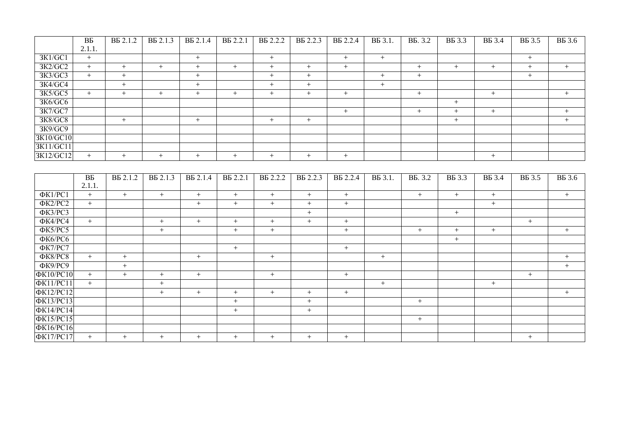|                          | $\overline{BB}$ | B <sub>B</sub> 2.1.2 | B <sub>B</sub> 2.1.3 | B <sub>B</sub> 2.1.4 | B <sub>5</sub> 2.2.1        | B <sub>B</sub> 2.2.2 | B <sub>B</sub> 2.2.3 | <b>BB</b> 2.2.4   | B <sub>5</sub> 3.1. | <b>BB.</b> 3.2             | <b>BE</b> 3.3    | <b>BE</b> 3.4    | <b>BE</b> 3.5    | <b>B</b> B 3.6   |
|--------------------------|-----------------|----------------------|----------------------|----------------------|-----------------------------|----------------------|----------------------|-------------------|---------------------|----------------------------|------------------|------------------|------------------|------------------|
|                          | 2.1.1.          |                      |                      |                      |                             |                      |                      |                   |                     |                            |                  |                  |                  |                  |
| 3K1/GC1                  | $+$             |                      |                      | $\, +$               |                             | $\,+\,$              |                      | $^{+}$            | $+$                 |                            |                  |                  | $+$              |                  |
| 3K2/GC2                  | $+$             | $+$                  | $+$                  | $\boldsymbol{+}$     | $+$                         | $\boldsymbol{+}$     | $+$                  | $+$               |                     | $\boldsymbol{+}$           | $+$              | $\, +$           | $\boldsymbol{+}$ | $+$              |
| 3K3/GC3                  | $+$             | $+$                  |                      | $+$                  |                             | $+$                  | $+$                  |                   | $+$                 | $+$                        |                  |                  | $+$              |                  |
| 3K4/GC4                  |                 | $+$                  |                      | $+$                  |                             | $+$                  | $^{+}$               |                   | $+$                 |                            |                  |                  |                  |                  |
| 3K5/GC5                  | $+$             | $\boldsymbol{+}$     | $\pm$                | $\boldsymbol{+}$     | $+$                         | $\boldsymbol{+}$     | $^{+}$               | $\boldsymbol{+}$  |                     | $\, +$                     |                  | $\boldsymbol{+}$ |                  | $\, +$           |
| 3K6/GC6                  |                 |                      |                      |                      |                             |                      |                      |                   |                     |                            | $\boldsymbol{+}$ |                  |                  |                  |
| 3K7/GC7                  |                 |                      |                      |                      |                             |                      |                      | $+$               |                     | $\boldsymbol{+}$           | $\boldsymbol{+}$ | $\boldsymbol{+}$ |                  | $\boldsymbol{+}$ |
| 3K8/GC8                  |                 | $\, +$               |                      | $\, +$               |                             | $\boldsymbol{+}$     | $+$                  |                   |                     |                            | $+$              |                  |                  | $+$              |
| 3K9/GC9                  |                 |                      |                      |                      |                             |                      |                      |                   |                     |                            |                  |                  |                  |                  |
| 3K10/GC10                |                 |                      |                      |                      |                             |                      |                      |                   |                     |                            |                  |                  |                  |                  |
| 3K11/GC11                |                 |                      |                      |                      |                             |                      |                      |                   |                     |                            |                  |                  |                  |                  |
| 3K12/GC12                | $+$             | $+$                  | $+$                  | $+$                  | $+$                         | $\boldsymbol{+}$     | $^{+}$               | $+$               |                     |                            |                  | $+$              |                  |                  |
|                          |                 |                      |                      |                      |                             |                      |                      |                   |                     |                            |                  |                  |                  |                  |
|                          | <b>BP</b>       | B <sub>B</sub> 2.1.2 | B <sub>5</sub> 2.1.3 | B <sub>B</sub> 2.1.4 | <b>B</b> <sub>5</sub> 2.2.1 | <b>BB</b> 2.2.2      | B <sub>5</sub> 2.2.3 | <b>B</b> B 2.2.4  | B <sub>5</sub> 3.1. | <b>B</b> <sub>5</sub> .3.2 |                  | <b>BE</b> 3.4    |                  |                  |
|                          | 2.1.1.          |                      |                      |                      |                             |                      |                      |                   |                     |                            | <b>BB</b> 3.3    |                  | <b>BB</b> 3.5    | <b>B</b> B 3.6   |
| $\overline{\Phi K1/PC1}$ | $+$             | $+$                  | $^{+}$               | $\boldsymbol{+}$     | $\boldsymbol{+}$            | $\boldsymbol{+}$     | $+$                  | $\boldsymbol{+}$  |                     | $+$                        | $+$              | $\, +$           |                  | $+$              |
| $\Phi$ K2/PC2            | $+$             |                      |                      | $^{+}$               | $^{+}$                      | $+$                  | $+$                  | $^{+}$            |                     |                            |                  | $+$              |                  |                  |
| ФКЗ/РСЗ                  |                 |                      |                      |                      |                             |                      | $+$                  |                   |                     |                            | $+$              |                  |                  |                  |
| ФК4/РС4                  | $+$             |                      | $+$                  | $\boldsymbol{+}$     | $\boldsymbol{+}$            | $\boldsymbol{+}$     | $\boldsymbol{+}$     | $\qquad \qquad +$ |                     |                            |                  |                  | $\boldsymbol{+}$ |                  |
| ФК5/РС5                  |                 |                      | $+$                  |                      | $^{+}$                      | $+$                  |                      | $^{+}$            |                     | $+$                        | $+$              | $+$              |                  | $+$              |
| ФК6/РС6                  |                 |                      |                      |                      |                             |                      |                      |                   |                     |                            | $+$              |                  |                  |                  |
| ФК7/РС7                  |                 |                      |                      |                      | $+$                         |                      |                      | $\boldsymbol{+}$  |                     |                            |                  |                  |                  |                  |
| ФК8/РС8                  | $+$             | $\boldsymbol{+}$     |                      | $\boldsymbol{+}$     |                             | $\boldsymbol{+}$     |                      |                   | $\boldsymbol{+}$    |                            |                  |                  |                  | $\, +$           |
| $\overline{\Phi K9/PC9}$ |                 | $+$                  |                      |                      |                             |                      |                      |                   |                     |                            |                  |                  |                  | $+$              |
| ΦK10/PC10                | $+$             | $+$                  | $+$                  | $\boldsymbol{+}$     |                             | $\boldsymbol{+}$     |                      | $\boldsymbol{+}$  |                     |                            |                  |                  | $+$              |                  |
| <b>ФК11/РС11</b>         | $+$             |                      | $+$                  |                      |                             |                      |                      |                   | $+$                 |                            |                  | $+$              |                  |                  |
| <b>ФК12/РС12</b>         |                 |                      | $+$                  | $\boldsymbol{+}$     | $\boldsymbol{+}$            | $\boldsymbol{+}$     | $\boldsymbol{+}$     | $\boldsymbol{+}$  |                     |                            |                  |                  |                  | $+$              |
| <b>ФК13/РС13</b>         |                 |                      |                      |                      | $\boldsymbol{+}$            |                      | $\boldsymbol{+}$     |                   |                     | $\boldsymbol{+}$           |                  |                  |                  |                  |
| ФК14/РС14                |                 |                      |                      |                      | $\boldsymbol{+}$            |                      | $^{+}$               |                   |                     |                            |                  |                  |                  |                  |
| <b>ФК15/РС15</b>         |                 |                      |                      |                      |                             |                      |                      |                   |                     | $\boldsymbol{+}$           |                  |                  |                  |                  |
| <b>ФК16/РС16</b>         |                 |                      |                      |                      |                             |                      |                      |                   |                     |                            |                  |                  |                  |                  |
| <b>ФК17/РС17</b>         | $+$             | $+$                  | $+$                  | $+$                  | $+$                         | $+$                  | $+$                  | $+$               |                     |                            |                  |                  | $+$              |                  |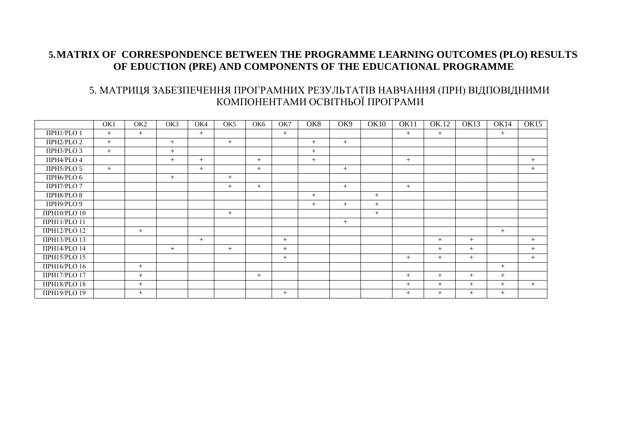#### **5.MATRIX OF CORRESPONDENCE BETWEEN THE PROGRAMME LEARNING OUTCOMES (PLO) RESULTS OF EDUCTION (PRE) AND COMPONENTS OF THE EDUCATIONAL PROGRAMME**

#### 5. МАТРИЦЯ ЗАБЕЗПЕЧЕННЯ ПРОГРАМНИХ РЕЗУЛЬТАТІВ НАВЧАННЯ (ПРН) ВІДПОВІДНИМИ КОМПОНЕНТАМИ ОСВІТНЬОЇ ПРОГРАМИ

|                      | OK1 | OK <sub>2</sub> | OK3 | OK4    | OK <sub>5</sub> | OK <sub>6</sub> | OK7    | OK <sub>8</sub> | OK9 | <b>OK10</b> | OK11   | OK.12  | OK13   | OK14   | <b>OK15</b> |
|----------------------|-----|-----------------|-----|--------|-----------------|-----------------|--------|-----------------|-----|-------------|--------|--------|--------|--------|-------------|
| ΠΡΗ1/PLO 1           | $+$ | $+$             |     | $+$    |                 |                 | $+$    |                 |     |             | $+$    | $+$    |        | $+$    |             |
| ПРН2/PLO 2           | $+$ |                 | $+$ |        | $+$             |                 |        | $+$             | $+$ |             |        |        |        |        |             |
| ПРН3/PLO 3           | $+$ |                 | $+$ |        |                 |                 |        | $+$             |     |             |        |        |        |        |             |
| ПРН4/PLO 4           |     |                 | $+$ | $^{+}$ |                 | $+$             |        | $^{+}$          |     |             | $+$    |        |        |        | $+$         |
| ПРН5/PLO 5           | $+$ |                 |     | $^{+}$ |                 | $+$             |        |                 | $+$ |             |        |        |        |        | $^{+}$      |
| ПРН6/PLO 6           |     |                 | $+$ |        | $+$             |                 |        |                 |     |             |        |        |        |        |             |
| ПРН7/PLO 7           |     |                 |     |        | $+$             | $+$             |        |                 | $+$ |             | $+$    |        |        |        |             |
| <b>ПРН8/PLO 8</b>    |     |                 |     |        |                 |                 |        | $+$             |     | $+$         |        |        |        |        |             |
| ПРН9/PLO 9           |     |                 |     |        |                 |                 |        | $+$             | $+$ | $+$         |        |        |        |        |             |
| ΠΡΗ10/PLO 10         |     |                 |     |        | $+$             |                 |        |                 |     | $^{+}$      |        |        |        |        |             |
| ΠΡΗ11/PLO 11         |     |                 |     |        |                 |                 |        |                 | $+$ |             |        |        |        |        |             |
| <b>ПРН12/PLO 12</b>  |     | $+$             |     |        |                 |                 |        |                 |     |             |        |        |        | $+$    |             |
| <b>TIPH13/PLO 13</b> |     |                 |     | $^{+}$ |                 |                 | $+$    |                 |     |             |        | $+$    | $+$    |        | $^{+}$      |
| ΠΡΗ14/PLO 14         |     |                 | $+$ |        | $+$             |                 | $^{+}$ |                 |     |             |        | $+$    | $+$    |        | $+$         |
| ПРН15/РLO 15         |     |                 |     |        |                 |                 | $^{+}$ |                 |     |             | $+$    | $+$    | $+$    |        | $+$         |
| ПРН16/РІО 16         |     | $+$             |     |        |                 |                 |        |                 |     |             |        |        |        | $+$    |             |
| <b>ΠΡΗ17/PLO 17</b>  |     | $+$             |     |        |                 | $+$             |        |                 |     |             | $+$    | $^{+}$ | $+$    | $+$    |             |
| <b>ΠΡΗ18/PLO 18</b>  |     | $+$             |     |        |                 |                 |        |                 |     |             | $+$    | $+$    | $^{+}$ | $+$    | $+$         |
| ПРН19/PLO 19         |     | $^{+}$          |     |        |                 |                 | $^{+}$ |                 |     |             | $^{+}$ | $^{+}$ | $+$    | $^{+}$ |             |